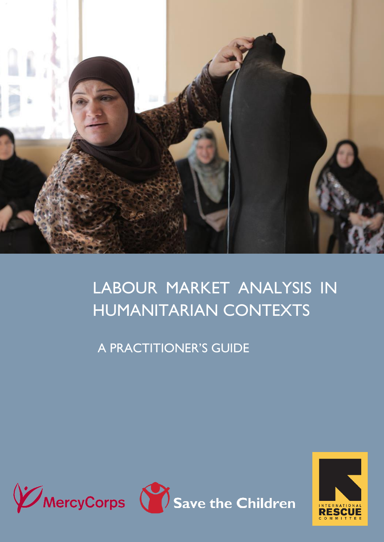<span id="page-0-0"></span>

## LABOUR MARKET ANALYSIS IN HUMANITARIAN CONTEXTS

A PRACTITIONER'S GUIDE



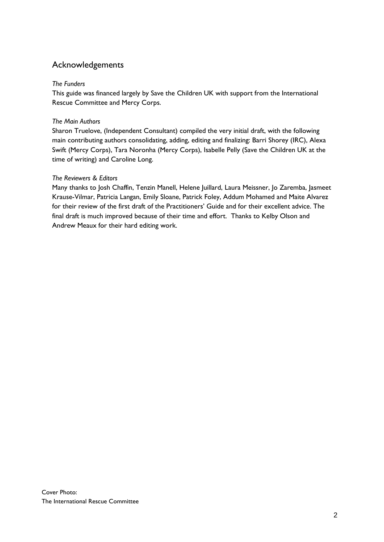## Acknowledgements

#### *The Funders*

This guide was financed largely by Save the Children UK with support from the International Rescue Committee and Mercy Corps.

#### *The Main Authors*

Sharon Truelove, (Independent Consultant) compiled the very initial draft, with the following main contributing authors consolidating, adding, editing and finalizing: Barri Shorey (IRC), Alexa Swift (Mercy Corps), Tara Noronha (Mercy Corps), Isabelle Pelly (Save the Children UK at the time of writing) and Caroline Long.

#### *The Reviewers & Editors*

Many thanks to Josh Chaffin, Tenzin Manell, Helene Juillard, Laura Meissner, Jo Zaremba, Jasmeet Krause-Vilmar, Patricia Langan, Emily Sloane, Patrick Foley, Addum Mohamed and Maite Alvarez for their review of the first draft of the Practitioners' Guide and for their excellent advice. The final draft is much improved because of their time and effort. Thanks to Kelby Olson and Andrew Meaux for their hard editing work.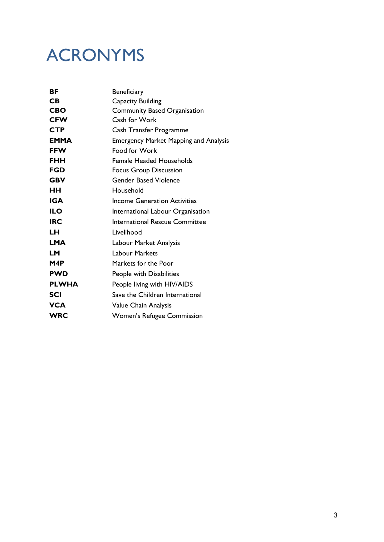## ACRONYMS

| ВF           | Beneficiary                                  |
|--------------|----------------------------------------------|
| <b>CB</b>    | Capacity Building                            |
| <b>CBO</b>   | <b>Community Based Organisation</b>          |
| <b>CFW</b>   | Cash for Work                                |
| <b>CTP</b>   | Cash Transfer Programme                      |
| <b>EMMA</b>  | <b>Emergency Market Mapping and Analysis</b> |
| <b>FFW</b>   | Food for Work                                |
| <b>FHH</b>   | <b>Female Headed Households</b>              |
| <b>FGD</b>   | <b>Focus Group Discussion</b>                |
| <b>GBV</b>   | <b>Gender Based Violence</b>                 |
| HН           | Household                                    |
| <b>IGA</b>   | <b>Income Generation Activities</b>          |
| <b>ILO</b>   | International Labour Organisation            |
| <b>IRC</b>   | <b>International Rescue Committee</b>        |
| LН           | Livelihood                                   |
| <b>LMA</b>   | Labour Market Analysis                       |
| <b>LM</b>    | <b>Labour Markets</b>                        |
| M4P          | Markets for the Poor                         |
| <b>PWD</b>   | People with Disabilities                     |
| <b>PLWHA</b> | People living with HIV/AIDS                  |
| <b>SCI</b>   | Save the Children International              |
| <b>VCA</b>   | Value Chain Analysis                         |
| <b>WRC</b>   | Women's Refugee Commission                   |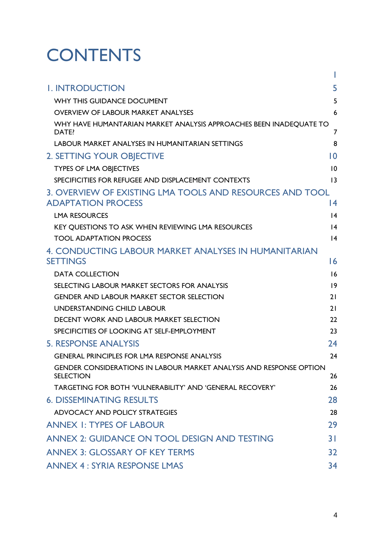# **CONTENTS**

| <b>I. INTRODUCTION</b>                                                                         | 5               |
|------------------------------------------------------------------------------------------------|-----------------|
| WHY THIS GUIDANCE DOCUMENT                                                                     | 5               |
| <b>OVERVIEW OF LABOUR MARKET ANALYSES</b>                                                      | 6               |
| WHY HAVE HUMANTARIAN MARKET ANALYSIS APPROACHES BEEN INADEQUATE TO<br>DATE?                    | $\overline{7}$  |
| LABOUR MARKET ANALYSES IN HUMANITARIAN SETTINGS                                                | 8               |
| 2. SETTING YOUR OBJECTIVE                                                                      | $\overline{10}$ |
| <b>TYPES OF LMA OBJECTIVES</b>                                                                 | 10              |
| SPECIFICITIES FOR REFUGEE AND DISPLACEMENT CONTEXTS                                            | 13              |
| 3. OVERVIEW OF EXISTING LMA TOOLS AND RESOURCES AND TOOL<br><b>ADAPTATION PROCESS</b>          | 14              |
| <b>LMA RESOURCES</b>                                                                           | 4               |
| KEY QUESTIONS TO ASK WHEN REVIEWING LMA RESOURCES                                              | 4               |
| <b>TOOL ADAPTATION PROCESS</b>                                                                 | 4               |
| 4. CONDUCTING LABOUR MARKET ANALYSES IN HUMANITARIAN<br><b>SETTINGS</b>                        | 16              |
| <b>DATA COLLECTION</b>                                                                         | 16              |
| SELECTING LABOUR MARKET SECTORS FOR ANALYSIS                                                   | 9               |
| <b>GENDER AND LABOUR MARKET SECTOR SELECTION</b>                                               | 21              |
| UNDERSTANDING CHILD LABOUR                                                                     | 21              |
| <b>DECENT WORK AND LABOUR MARKET SELECTION</b>                                                 | 22              |
| SPECIFICITIES OF LOOKING AT SELF-EMPLOYMENT                                                    | 23              |
| <b>5. RESPONSE ANALYSIS</b>                                                                    | 24              |
| <b>GENERAL PRINCIPLES FOR LMA RESPONSE ANALYSIS</b>                                            | 24              |
| <b>GENDER CONSIDERATIONS IN LABOUR MARKET ANALYSIS AND RESPONSE OPTION</b><br><b>SELECTION</b> | 26              |
| TARGETING FOR BOTH 'VULNERABILITY' AND 'GENERAL RECOVERY'                                      | 26              |
| <b>6. DISSEMINATING RESULTS</b>                                                                | 28              |
| ADVOCACY AND POLICY STRATEGIES                                                                 | 28              |
| <b>ANNEX 1: TYPES OF LABOUR</b>                                                                | 29              |
| <b>ANNEX 2: GUIDANCE ON TOOL DESIGN AND TESTING</b>                                            | 3 I             |
| <b>ANNEX 3: GLOSSARY OF KEY TERMS</b>                                                          | 32              |
| <b>ANNEX 4: SYRIA RESPONSE LMAS</b>                                                            | 34              |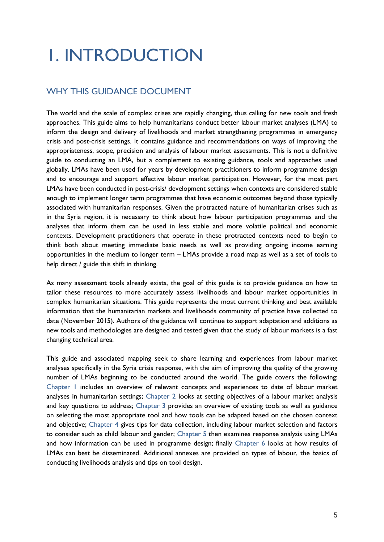## <span id="page-4-0"></span>1. INTRODUCTION

## <span id="page-4-1"></span>WHY THIS GUIDANCE DOCUMENT

The world and the scale of complex crises are rapidly changing, thus calling for new tools and fresh approaches. This guide aims to help humanitarians conduct better labour market analyses (LMA) to inform the design and delivery of livelihoods and market strengthening programmes in emergency crisis and post-crisis settings. It contains guidance and recommendations on ways of improving the appropriateness, scope, precision and analysis of labour market assessments. This is not a definitive guide to conducting an LMA, but a complement to existing guidance, tools and approaches used globally. LMAs have been used for years by development practitioners to inform programme design and to encourage and support effective labour market participation. However, for the most part LMAs have been conducted in post-crisis/ development settings when contexts are considered stable enough to implement longer term programmes that have economic outcomes beyond those typically associated with humanitarian responses. Given the protracted nature of humanitarian crises such as in the Syria region, it is necessary to think about how labour participation programmes and the analyses that inform them can be used in less stable and more volatile political and economic contexts. Development practitioners that operate in these protracted contexts need to begin to think both about meeting immediate basic needs as well as providing ongoing income earning opportunities in the medium to longer term – LMAs provide a road map as well as a set of tools to help direct / guide this shift in thinking.

As many assessment tools already exists, the goal of this guide is to provide guidance on how to tailor these resources to more accurately assess livelihoods and labour market opportunities in complex humanitarian situations. This guide represents the most current thinking and best available information that the humanitarian markets and livelihoods community of practice have collected to date (November 2015). Authors of the guidance will continue to support adaptation and additions as new tools and methodologies are designed and tested given that the study of labour markets is a fast changing technical area.

This guide and associated mapping seek to share learning and experiences from labour market analyses specifically in the Syria crisis response, with the aim of improving the quality of the growing number of LMAs beginning to be conducted around the world. The guide covers the following: [Chapter 1](#page-4-0) includes an overview of relevant concepts and experiences to date of labour market analyses in humanitarian settings; [Chapter 2](#page-9-0) looks at setting objectives of a labour market analysis and key questions to address; [Chapter 3](#page-13-0) provides an overview of existing tools as well as guidance on selecting the most appropriate tool and how tools can be adapted based on the chosen context and objective; [Chapter 4](#page-15-0) gives tips for data collection, including labour market selection and factors to consider such as child labour and gender; [Chapter 5](#page-22-1) then examines response analysis using LMAs and how information can be used in programme design; finally [Chapter 6](#page-27-0) looks at how results of LMAs can best be disseminated. Additional annexes are provided on types of labour, the basics of conducting livelihoods analysis and tips on tool design.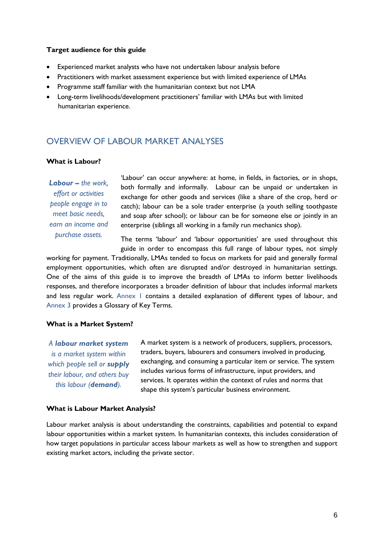#### **Target audience for this guide**

- Experienced market analysts who have not undertaken labour analysis before
- Practitioners with market assessment experience but with limited experience of LMAs
- Programme staff familiar with the humanitarian context but not LMA
- <span id="page-5-0"></span> Long-term livelihoods/development practitioners' familiar with LMAs but with limited humanitarian experience.

#### OVERVIEW OF LABOUR MARKET ANALYSES

#### **What is Labour?**

*Labour – the work, effort or activities people engage in to meet basic needs, earn an income and purchase assets.*

'Labour' can occur anywhere: at home, in fields, in factories, or in shops, both formally and informally. Labour can be unpaid or undertaken in exchange for other goods and services (like a share of the crop, herd or catch); labour can be a sole trader enterprise (a youth selling toothpaste and soap after school); or labour can be for someone else or jointly in an enterprise (siblings all working in a family run mechanics shop).

The terms 'labour' and 'labour opportunities' are used throughout this guide in order to encompass this full range of labour types, not simply

working for payment. Traditionally, LMAs tended to focus on markets for paid and generally formal employment opportunities, which often are disrupted and/or destroyed in humanitarian settings. One of the aims of this guide is to improve the breadth of LMAs to inform better livelihoods responses, and therefore incorporates a broader definition of labour that includes informal markets and less regular work. Annex I contains a detailed explanation of different types of labour, and [Annex 3](#page-31-0) provides a Glossary of Key Terms.

#### **What is a Market System?**

*A labour market system is a market system within which people sell or supply their labour, and others buy this labour (demand).*

A market system is a network of producers, suppliers, processors, traders, buyers, labourers and consumers involved in producing, exchanging, and consuming a particular item or service. The system includes various forms of infrastructure, input providers, and services. It operates within the context of rules and norms that shape this system's particular business environment.

#### **What is Labour Market Analysis?**

Labour market analysis is about understanding the constraints, capabilities and potential to expand labour opportunities within a market system. In humanitarian contexts, this includes consideration of how target populations in particular access labour markets as well as how to strengthen and support existing market actors, including the private sector.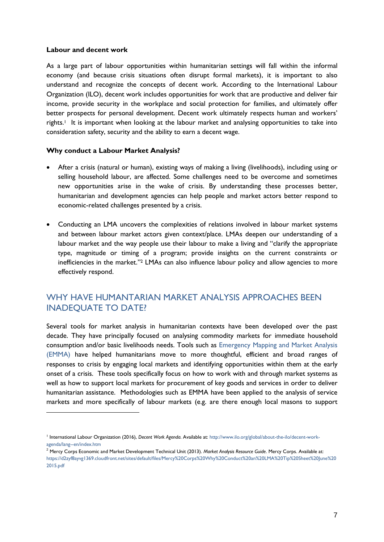#### **Labour and decent work**

1

As a large part of labour opportunities within humanitarian settings will fall within the informal economy (and because crisis situations often disrupt formal markets), it is important to also understand and recognize the concepts of decent work. According to the International Labour Organization (ILO), decent work includes opportunities for work that are productive and deliver fair income, provide security in the workplace and social protection for families, and ultimately offer better prospects for personal development. Decent work ultimately respects human and workers' rights. <sup>1</sup> It is important when looking at the labour market and analysing opportunities to take into consideration safety, security and the ability to earn a decent wage.

#### **Why conduct a Labour Market Analysis?**

- After a crisis (natural or human), existing ways of making a living (livelihoods), including using or selling household labour, are affected. Some challenges need to be overcome and sometimes new opportunities arise in the wake of crisis. By understanding these processes better, humanitarian and development agencies can help people and market actors better respond to economic-related challenges presented by a crisis.
- Conducting an LMA uncovers the complexities of relations involved in labour market systems and between labour market actors given context/place. LMAs deepen our understanding of a labour market and the way people use their labour to make a living and "clarify the appropriate type, magnitude or timing of a program; provide insights on the current constraints or inefficiencies in the market." <sup>2</sup> LMAs can also influence labour policy and allow agencies to more effectively respond.

### <span id="page-6-0"></span>WHY HAVE HUMANTARIAN MARKET ANALYSIS APPROACHES BEEN INADEQUATE TO DATE?

Several tools for market analysis in humanitarian contexts have been developed over the past decade. They have principally focused on analysing commodity markets for immediate household consumption and/or basic livelihoods needs. Tools such as [Emergency Mapping and Market Analysis](http://emma-toolkit.org/get/download/)  [\(EMMA\)](http://emma-toolkit.org/get/download/) have helped humanitarians move to more thoughtful, efficient and broad ranges of responses to crisis by engaging local markets and identifying opportunities within them at the early onset of a crisis. These tools specifically focus on how to work with and through market systems as well as how to support local markets for procurement of key goods and services in order to deliver humanitarian assistance. Methodologies such as EMMA have been applied to the analysis of service markets and more specifically of labour markets (e.g. are there enough local masons to support

<sup>1</sup> International Labour Organization (2016), *Decent Work Agenda*. Available at: [http://www.ilo.org/global/about-the-ilo/decent-work](http://www.ilo.org/global/about-the-ilo/decent-work-agenda/lang--en/index.htm)[agenda/lang--en/index.htm](http://www.ilo.org/global/about-the-ilo/decent-work-agenda/lang--en/index.htm)

<sup>&</sup>lt;sup>2</sup> Mercy Corps Economic and Market Development Technical Unit (2013). Market Analysis Resource Guide. Mercy Corps. Available at: [https://d2zyf8ayvg1369.cloudfront.net/sites/default/files/Mercy%20Corps%20Why%20Conduct%20an%20LMA%20Tip%20Sheet%20June%20](https://d2zyf8ayvg1369.cloudfront.net/sites/default/files/Mercy%20Corps%20Why%20Conduct%20an%20LMA%20Tip%20Sheet%20June%202015.pdf) [2015.pdf](https://d2zyf8ayvg1369.cloudfront.net/sites/default/files/Mercy%20Corps%20Why%20Conduct%20an%20LMA%20Tip%20Sheet%20June%202015.pdf)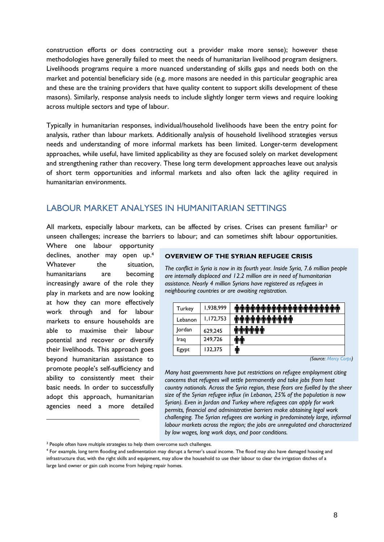construction efforts or does contracting out a provider make more sense); however these methodologies have generally failed to meet the needs of humanitarian livelihood program designers. Livelihoods programs require a more nuanced understanding of skills gaps and needs both on the market and potential beneficiary side (e.g. more masons are needed in this particular geographic area and these are the training providers that have quality content to support skills development of these masons). Similarly, response analysis needs to include slightly longer term views and require looking across multiple sectors and type of labour.

Typically in humanitarian responses, individual/household livelihoods have been the entry point for analysis, rather than labour markets. Additionally analysis of household livelihood strategies versus needs and understanding of more informal markets has been limited. Longer-term development approaches, while useful, have limited applicability as they are focused solely on market development and strengthening rather than recovery. These long term development approaches leave out analysis of short term opportunities and informal markets and also often lack the agility required in humanitarian environments.

### <span id="page-7-0"></span>LABOUR MARKET ANALYSES IN HUMANITARIAN SETTINGS

All markets, especially labour markets, can be affected by crises. Crises can present familiar<sup>3</sup> or unseen challenges; increase the barriers to labour; and can sometimes shift labour opportunities.

Where one labour opportunity declines, another may open up. 4 Whatever the situation, humanitarians are becoming increasingly aware of the role they play in markets and are now looking at how they can more effectively work through and for labour markets to ensure households are able to maximise their labour potential and recover or diversify their livelihoods. This approach goes beyond humanitarian assistance to promote people's self-sufficiency and ability to consistently meet their basic needs. In order to successfully adopt this approach, humanitarian agencies need a more detailed

1

#### **OVERVIEW OF THE SYRIAN REFUGEE CRISIS**

*The conflict in Syria is now in its fourth year. Inside Syria, 7.6 million people are internally displaced and 12.2 million are in need of humanitarian assistance. Nearly 4 million Syrians have registered as refugees in neighbouring countries or are awaiting registration.* 

| Turkey  | 1,938,999 |                            |
|---------|-----------|----------------------------|
| Lebanon | 1,172,753 | <u>ዀዀዀዀዀዀዀዀዀዀ</u>          |
| Jordan  | 629,245   | <u>.</u><br>بالبالبالباليا |
| Iraq    | 249,726   | πT                         |
| Egypt   | 132,375   | Ť                          |

*<sup>(</sup>Source: [Mercy Corps](https://www.mercycorps.org/articles/iraq-jordan-lebanon-syria-turkey/quick-facts-what-you-need-know-about-syria-crisis))*

*Many host governments have put restrictions on refugee employment citing concerns that refugees will settle permanently and take jobs from host country nationals. Across the Syria region, these fears are fuelled by the sheer size of the Syrian refugee influx (in Lebanon, 25% of the population is now Syrian). Even in Jordan and Turkey where refugees can apply for work permits, financial and administrative barriers make obtaining legal work challenging. The Syrian refugees are working in predominately large, informal labour markets across the region; the jobs are unregulated and characterized by low wages, long work days, and poor conditions.* 

<sup>&</sup>lt;sup>3</sup> People often have multiple strategies to help them overcome such challenges.

<sup>4</sup> For example, long term flooding and sedimentation may disrupt a farmer's usual income. The flood may also have damaged housing and infrastructure that, with the right skills and equipment, may allow the household to use their labour to clear the irrigation ditches of a large land owner or gain cash income from helping repair homes.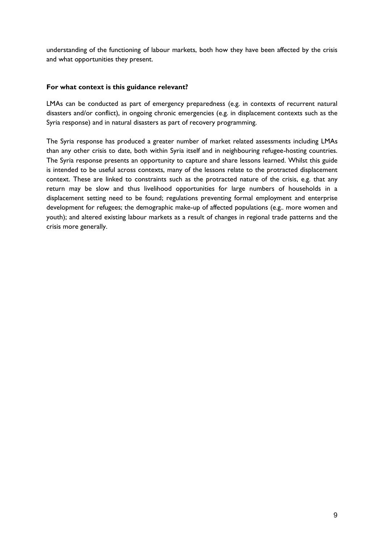understanding of the functioning of labour markets, both how they have been affected by the crisis and what opportunities they present.

#### **For what context is this guidance relevant?**

LMAs can be conducted as part of emergency preparedness (e.g. in contexts of recurrent natural disasters and/or conflict), in ongoing chronic emergencies (e.g. in displacement contexts such as the Syria response) and in natural disasters as part of recovery programming.

The Syria response has produced a greater number of market related assessments including LMAs than any other crisis to date, both within Syria itself and in neighbouring refugee-hosting countries. The Syria response presents an opportunity to capture and share lessons learned. Whilst this guide is intended to be useful across contexts, many of the lessons relate to the protracted displacement context. These are linked to constraints such as the protracted nature of the crisis, e.g. that any return may be slow and thus livelihood opportunities for large numbers of households in a displacement setting need to be found; regulations preventing formal employment and enterprise development for refugees; the demographic make-up of affected populations (e.g.. more women and youth); and altered existing labour markets as a result of changes in regional trade patterns and the crisis more generally.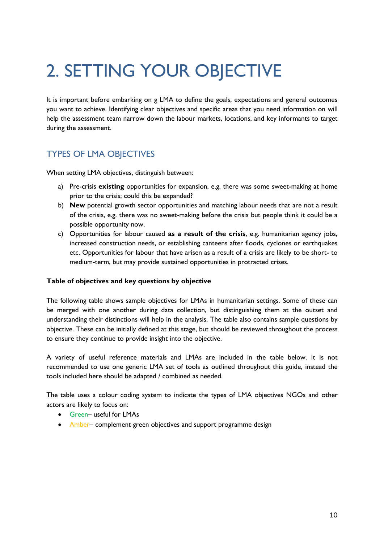# <span id="page-9-0"></span>2. SETTING YOUR OBJECTIVE

It is important before embarking on g LMA to define the goals, expectations and general outcomes you want to achieve. Identifying clear objectives and specific areas that you need information on will help the assessment team narrow down the labour markets, locations, and key informants to target during the assessment.

## <span id="page-9-1"></span>TYPES OF LMA OBJECTIVES

When setting LMA objectives, distinguish between:

- a) Pre-crisis **existing** opportunities for expansion, e.g. there was some sweet-making at home prior to the crisis; could this be expanded?
- b) **New** potential growth sector opportunities and matching labour needs that are not a result of the crisis, e.g. there was no sweet-making before the crisis but people think it could be a possible opportunity now.
- c) Opportunities for labour caused **as a result of the crisis**, e.g. humanitarian agency jobs, increased construction needs, or establishing canteens after floods, cyclones or earthquakes etc. Opportunities for labour that have arisen as a result of a crisis are likely to be short- to medium-term, but may provide sustained opportunities in protracted crises.

#### **Table of objectives and key questions by objective**

The following table shows sample objectives for LMAs in humanitarian settings. Some of these can be merged with one another during data collection, but distinguishing them at the outset and understanding their distinctions will help in the analysis. The table also contains sample questions by objective. These can be initially defined at this stage, but should be reviewed throughout the process to ensure they continue to provide insight into the objective.

A variety of useful reference materials and LMAs are included in the table below. It is not recommended to use one generic LMA set of tools as outlined throughout this guide, instead the tools included here should be adapted / combined as needed.

The table uses a colour coding system to indicate the types of LMA objectives NGOs and other actors are likely to focus on:

- Green– useful for LMAs
- Amber– complement green objectives and support programme design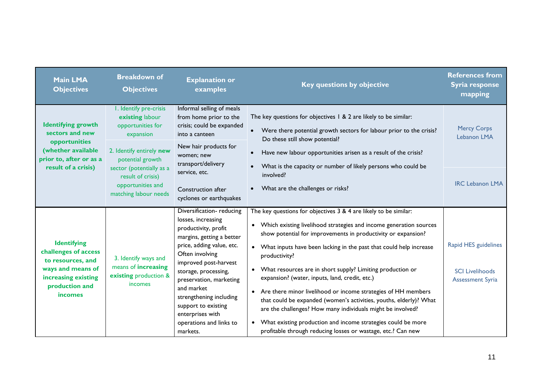| <b>Main LMA</b><br><b>Objectives</b>                                                                                                            | <b>Breakdown of</b><br><b>Objectives</b>                                                                                    | <b>Explanation or</b><br>examples                                                                                                                                                                                                                                                                                                                          | Key questions by objective                                                                                                                                                                                                                                                                                                                                                                                                                                                                                                                                                                                                                                                                                                                                   | <b>References from</b><br>Syria response<br>mapping                       |
|-------------------------------------------------------------------------------------------------------------------------------------------------|-----------------------------------------------------------------------------------------------------------------------------|------------------------------------------------------------------------------------------------------------------------------------------------------------------------------------------------------------------------------------------------------------------------------------------------------------------------------------------------------------|--------------------------------------------------------------------------------------------------------------------------------------------------------------------------------------------------------------------------------------------------------------------------------------------------------------------------------------------------------------------------------------------------------------------------------------------------------------------------------------------------------------------------------------------------------------------------------------------------------------------------------------------------------------------------------------------------------------------------------------------------------------|---------------------------------------------------------------------------|
| <b>Identifying growth</b><br>sectors and new<br>opportunities<br>(whether available<br>prior to, after or as a<br>result of a crisis)           | I. Identify pre-crisis<br>existing labour<br>opportunities for<br>expansion<br>2. Identify entirely new<br>potential growth | Informal selling of meals<br>from home prior to the<br>crisis; could be expanded<br>$\bullet$<br>into a canteen<br>Do these still show potential?<br>New hair products for<br>$\bullet$<br>women; new<br>transport/delivery                                                                                                                                | The key questions for objectives 1 & 2 are likely to be similar:<br>Were there potential growth sectors for labour prior to the crisis?<br>Have new labour opportunities arisen as a result of the crisis?<br>What is the capacity or number of likely persons who could be                                                                                                                                                                                                                                                                                                                                                                                                                                                                                  | <b>Mercy Corps</b><br>Lebanon LMA                                         |
| sector (potentially as a<br>result of crisis)<br>opportunities and<br>matching labour needs                                                     | service, etc.<br>Construction after<br>cyclones or earthquakes                                                              | involved?<br>What are the challenges or risks?                                                                                                                                                                                                                                                                                                             | <b>IRC Lebanon LMA</b>                                                                                                                                                                                                                                                                                                                                                                                                                                                                                                                                                                                                                                                                                                                                       |                                                                           |
| <b>Identifying</b><br>challenges of access<br>to resources, and<br>ways and means of<br>increasing existing<br>production and<br><i>incomes</i> | 3. Identify ways and<br>means of increasing<br>existing production &<br>incomes                                             | Diversification-reducing<br>losses, increasing<br>productivity, profit<br>margins, getting a better<br>price, adding value, etc.<br>Often involving<br>improved post-harvest<br>storage, processing,<br>preservation, marketing<br>and market<br>strengthening including<br>support to existing<br>enterprises with<br>operations and links to<br>markets. | The key questions for objectives 3 & 4 are likely to be similar:<br>• Which existing livelihood strategies and income generation sources<br>show potential for improvements in productivity or expansion?<br>• What inputs have been lacking in the past that could help increase<br>productivity?<br>• What resources are in short supply? Limiting production or<br>expansion? (water, inputs, land, credit, etc.)<br>• Are there minor livelihood or income strategies of HH members<br>that could be expanded (women's activities, youths, elderly)? What<br>are the challenges? How many individuals might be involved?<br>What existing production and income strategies could be more<br>profitable through reducing losses or wastage, etc.? Can new | Rapid HES guidelines<br><b>SCI Livelihoods</b><br><b>Assessment Syria</b> |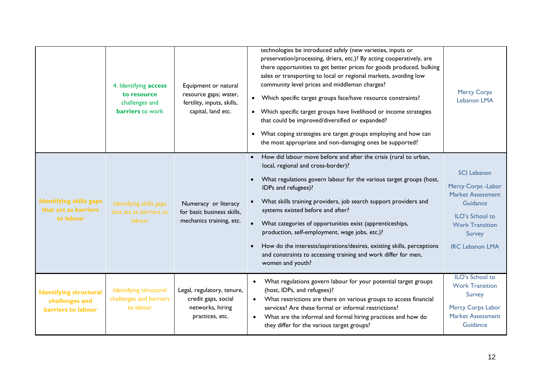|                                                                       | 4. Identifying access<br>to resource<br>challenges and<br><b>barriers</b> to work | Equipment or natural<br>resource gaps; water,<br>fertility, inputs, skills,<br>capital, land etc. | technologies be introduced safely (new varieties, inputs or<br>preservation/processing, driers, etc.)? By acting cooperatively, are<br>there opportunities to get better prices for goods produced, bulking<br>sales or transporting to local or regional markets, avoiding low<br>community level prices and middleman charges?<br>• Which specific target groups face/have resource constraints?<br>• Which specific target groups have livelihood or income strategies<br>that could be improved/diversified or expanded?<br>What coping strategies are target groups employing and how can<br>the most appropriate and non-damaging ones be supported? | <b>Mercy Corps</b><br>Lebanon LMA                                                                                                                                  |
|-----------------------------------------------------------------------|-----------------------------------------------------------------------------------|---------------------------------------------------------------------------------------------------|------------------------------------------------------------------------------------------------------------------------------------------------------------------------------------------------------------------------------------------------------------------------------------------------------------------------------------------------------------------------------------------------------------------------------------------------------------------------------------------------------------------------------------------------------------------------------------------------------------------------------------------------------------|--------------------------------------------------------------------------------------------------------------------------------------------------------------------|
| <b>Identifying skills gaps</b><br>that act as barriers<br>to labour   | Identifying skills gaps<br>that act as barriers to<br>labour                      | Numeracy or literacy<br>for basic business skills,<br>mechanics training, etc.                    | How did labour move before and after the crisis (rural to urban,<br>$\bullet$<br>local, regional and cross-border)?<br>What regulations govern labour for the various target groups (host,<br>IDPs and refugees)?<br>What skills training providers, job search support providers and<br>systems existed before and after?<br>What categories of opportunities exist (apprenticeships,<br>production, self-employment, wage jobs, etc.)?<br>How do the interests/aspirations/desires, existing skills, perceptions<br>and constraints to accessing training and work differ for men,<br>women and youth?                                                   | <b>SCI Lebanon</b><br>Mercy Corps - Labor<br><b>Market Assessment</b><br>Guidance<br>ILO's School to<br><b>Work Transition</b><br>Survey<br><b>IRC Lebanon LMA</b> |
| <b>Identifying structural</b><br>challenges and<br>barriers to labour | Identifying structural<br>challenges and barriers<br>to labour                    | Legal, regulatory, tenure,<br>credit gaps, social<br>networks, hiring<br>practices, etc.          | What regulations govern labour for your potential target groups<br>$\bullet$<br>(host, IDPs, and refugees)?<br>What restrictions are there on various groups to access financial<br>services? Are these formal or informal restrictions?<br>What are the informal and formal hiring practices and how do<br>they differ for the various target groups?                                                                                                                                                                                                                                                                                                     | ILO's School to<br><b>Work Transition</b><br>Survey<br>Mercy Corps Labor<br><b>Market Assessment</b><br>Guidance                                                   |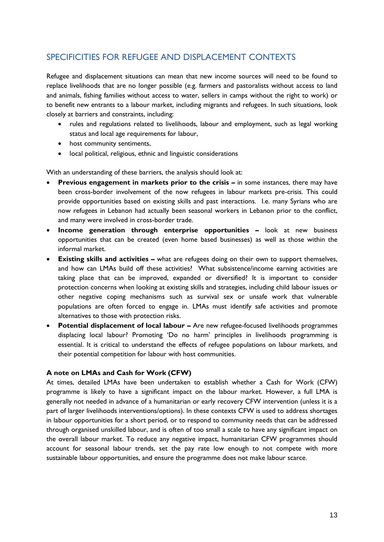## <span id="page-12-0"></span>SPECIFICITIES FOR REFUGEE AND DISPLACEMENT CONTEXTS

Refugee and displacement situations can mean that new income sources will need to be found to replace livelihoods that are no longer possible (e.g. farmers and pastoralists without access to land and animals, fishing families without access to water, sellers in camps without the right to work) or to benefit new entrants to a labour market, including migrants and refugees. In such situations, look closely at barriers and constraints, including:

- rules and regulations related to livelihoods, labour and employment, such as legal working status and local age requirements for labour,
- host community sentiments,
- local political, religious, ethnic and linguistic considerations

With an understanding of these barriers, the analysis should look at:

- **Previous engagement in markets prior to the crisis in some instances, there may have** been cross-border involvement of the now refugees in labour markets pre-crisis. This could provide opportunities based on existing skills and past interactions. I.e. many Syrians who are now refugees in Lebanon had actually been seasonal workers in Lebanon prior to the conflict, and many were involved in cross-border trade.
- **Income generation through enterprise opportunities –** look at new business opportunities that can be created (even home based businesses) as well as those within the informal market.
- **Existing skills and activities –** what are refugees doing on their own to support themselves, and how can LMAs build off these activities? What subsistence/income earning activities are taking place that can be improved, expanded or diversified? It is important to consider protection concerns when looking at existing skills and strategies, including child labour issues or other negative coping mechanisms such as survival sex or unsafe work that vulnerable populations are often forced to engage in. LMAs must identify safe activities and promote alternatives to those with protection risks.
- **•** Potential displacement of local labour Are new refugee-focused livelihoods programmes displacing local labour? Promoting 'Do no harm' principles in livelihoods programming is essential. It is critical to understand the effects of refugee populations on labour markets, and their potential competition for labour with host communities.

#### **A note on LMAs and Cash for Work (CFW)**

At times, detailed LMAs have been undertaken to establish whether a Cash for Work (CFW) programme is likely to have a significant impact on the labour market. However, a full LMA is generally not needed in advance of a humanitarian or early recovery CFW intervention (unless it is a part of larger livelihoods interventions/options). In these contexts CFW is used to address shortages in labour opportunities for a short period, or to respond to community needs that can be addressed through organised unskilled labour, and is often of too small a scale to have any significant impact on the overall labour market. To reduce any negative impact, humanitarian CFW programmes should account for seasonal labour trends, set the pay rate low enough to not compete with more sustainable labour opportunities, and ensure the programme does not make labour scarce.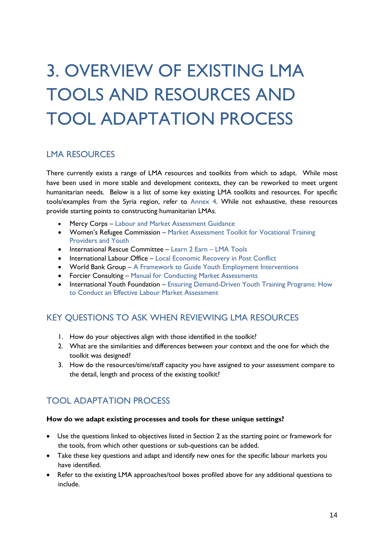# <span id="page-13-0"></span>3. OVERVIEW OF EXISTING LMA TOOLS AND RESOURCES AND TOOL ADAPTATION PROCESS

### <span id="page-13-1"></span>LMA RESOURCES

There currently exists a range of LMA resources and toolkits from which to adapt. While most have been used in more stable and development contexts, they can be reworked to meet urgent humanitarian needs. Below is a list of some key existing LMA toolkits and resources. For specific tools/examples from the Syria region, refer to [Annex 4.](#page-33-0) While not exhaustive, these resources provide starting points to constructing humanitarian LMAs.

- Mercy Corps [Labour and Market Assessment Guidance](https://www.mercycorps.org/research-resources/labor-and-market-assessment-guidance-and-tip-sheets)
- Women's Refugee Commission [Market Assessment Toolkit for Vocational Training](https://womensrefugeecommission.org/component/zdocs/document/463-market-assessment-toolkit-for-vocational-training-providers-and-youth)  [Providers and Youth](https://womensrefugeecommission.org/component/zdocs/document/463-market-assessment-toolkit-for-vocational-training-providers-and-youth)
- International Rescue Committee [Learn 2 Earn](https://rescue.app.box.com/files/0/f/5472004969/1/f_44753264381)  LMA Tools
- International Labour Office [Local Economic Recovery in Post Conflict](http://www.ilo.org/wcmsp5/groups/public/@ed_emp/documents/instructionalmaterial/wcms_141270.pdf)
- World Bank Group [A Framework to Guide Youth Employment Interventions](http://siteresources.worldbank.org/INTLM/214578-1103128720951/22795057/EPPNoteNo16_Eng.pdf)
- Forcier Consulting [Manual for Conducting Market Assessments](http://www.mdgfund.org/sites/default/files/YEM_MANUAL_South%20Sudan_ConductingMarketAssessments.pdf)
- International Youth Foundation Ensuring Demand-Driven Youth Training Programs: How [to Conduct an Effective Labour Market Assessment](http://www.iyfnet.org/library/ensuring-demand-driven-youth-training-programs-how-conduct-effective-labor-market-assessment)

### <span id="page-13-2"></span>KEY QUESTIONS TO ASK WHEN REVIEWING LMA RESOURCES

- 1. How do your objectives align with those identified in the toolkit?
- 2. What are the similarities and differences between your context and the one for which the toolkit was designed?
- 3. How do the resources/time/staff capacity you have assigned to your assessment compare to the detail, length and process of the existing toolkit?

## <span id="page-13-3"></span>TOOL ADAPTATION PROCESS

#### **How do we adapt existing processes and tools for these unique settings?**

- Use the questions linked to objectives listed in Section 2 as the starting point or framework for the tools, from which other questions or sub-questions can be added.
- Take these key questions and adapt and identify new ones for the specific labour markets you have identified.
- Refer to the existing LMA approaches/tool boxes profiled above for any additional questions to include.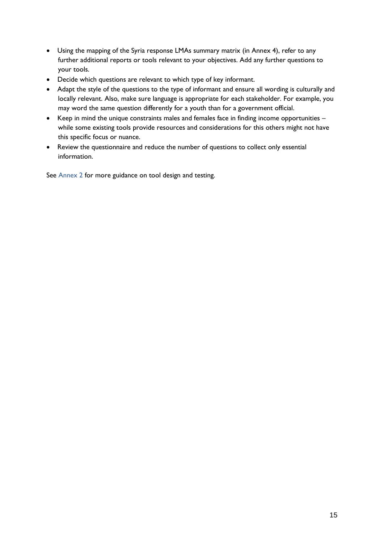- Using the mapping of the Syria response LMAs summary matrix (in Annex 4), refer to any further additional reports or tools relevant to your objectives. Add any further questions to your tools.
- Decide which questions are relevant to which type of key informant.
- Adapt the style of the questions to the type of informant and ensure all wording is culturally and locally relevant. Also, make sure language is appropriate for each stakeholder. For example, you may word the same question differently for a youth than for a government official.
- Keep in mind the unique constraints males and females face in finding income opportunities while some existing tools provide resources and considerations for this others might not have this specific focus or nuance.
- Review the questionnaire and reduce the number of questions to collect only essential information.

See [Annex 2](#page-30-0) for more guidance on tool design and testing.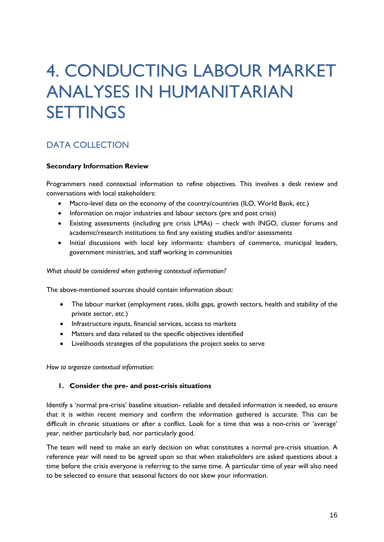## <span id="page-15-0"></span>4. CONDUCTING LABOUR MARKET ANALYSES IN HUMANITARIAN SETTINGS

## <span id="page-15-1"></span>DATA COLLECTION

#### **Secondary Information Review**

Programmers need contextual information to refine objectives. This involves a desk review and conversations with local stakeholders:

- Macro-level data on the economy of the country/countries (ILO, World Bank, etc.)
- Information on major industries and labour sectors (pre and post crisis)
- Existing assessments (including pre crisis LMAs) check with INGO, cluster forums and academic/research institutions to find any existing studies and/or assessments
- Initial discussions with local key informants: chambers of commerce, municipal leaders, government ministries, and staff working in communities

*What should be considered when gathering contextual information?*

The above-mentioned sources should contain information about:

- The labour market (employment rates, skills gaps, growth sectors, health and stability of the private sector, etc.)
- Infrastructure inputs, financial services, access to markets
- Matters and data related to the specific objectives identified
- Livelihoods strategies of the populations the project seeks to serve

*How to organize contextual information:* 

#### **1. Consider the pre- and post-crisis situations**

Identify a 'normal pre-crisis' baseline situation- reliable and detailed information is needed, so ensure that it is within recent memory and confirm the information gathered is accurate. This can be difficult in chronic situations or after a conflict. Look for a time that was a non-crisis or 'average' year, neither particularly bad, nor particularly good.

The team will need to make an early decision on what constitutes a normal pre-crisis situation. A reference year will need to be agreed upon so that when stakeholders are asked questions about a time before the crisis everyone is referring to the same time. A particular time of year will also need to be selected to ensure that seasonal factors do not skew your information.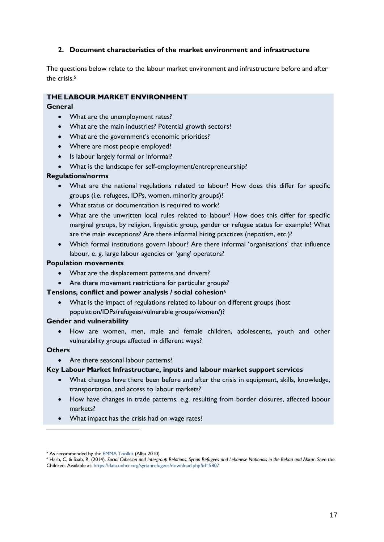#### **2. Document characteristics of the market environment and infrastructure**

The questions below relate to the labour market environment and infrastructure before and after the crisis. 5

#### **THE LABOUR MARKET ENVIRONMENT**

#### **General**

- What are the unemployment rates?
- What are the main industries? Potential growth sectors?
- What are the government's economic priorities?
- Where are most people employed?
- Is labour largely formal or informal?
- What is the landscape for self-employment/entrepreneurship?

#### **Regulations/norms**

- What are the national regulations related to labour? How does this differ for specific groups (i.e. refugees, IDPs, women, minority groups)?
- What status or documentation is required to work?
- What are the unwritten local rules related to labour? How does this differ for specific marginal groups, by religion, linguistic group, gender or refugee status for example? What are the main exceptions? Are there informal hiring practices (nepotism, etc.)?
- Which formal institutions govern labour? Are there informal 'organisations' that influence labour, e. g. large labour agencies or 'gang' operators?

#### **Population movements**

- What are the displacement patterns and drivers?
- Are there movement restrictions for particular groups?

#### **Tensions, conflict and power analysis / social cohesion**<sup>6</sup>

 What is the impact of regulations related to labour on different groups (host population/IDPs/refugees/vulnerable groups/women/)?

#### **Gender and vulnerability**

 How are women, men, male and female children, adolescents, youth and other vulnerability groups affected in different ways?

#### **Others**

1

• Are there seasonal labour patterns?

#### **Key Labour Market Infrastructure, inputs and labour market support services**

- What changes have there been before and after the crisis in equipment, skills, knowledge, transportation, and access to labour markets?
- How have changes in trade patterns, e.g. resulting from border closures, affected labour markets?
- What impact has the crisis had on wage rates?

<sup>&</sup>lt;sup>5</sup> As recommended by the [EMMA Toolkit](http://emma-toolkit.org/get/download/) (Albu 2010)

<sup>6</sup> Harb, C, & Saab, R. (2014). *[Social Cohesion and Intergroup Relations: Syrian Refugees and Lebanese Nationals in the Bekaa and Akkar](file:///C:/Users/barris/Box%20Sync/Livelihoods%20Folders/Livelihoods%20Technical/Enterprise%20Development%20&%20Employment/SRR%20Assessment%20Mapping/Final%20Edits%20for%20Kelby/Harb,%20C,%20&%20Saab,%20R.%20(2014).%20Social%20Cohesion%20and%20Intergroup%20Relations:%20Syrian%20Refugees%20and%20Lebanese%20Nationals%20in%20the%20Bekaa%20and%20Akkar.%20Save%20the%20Children.%20Available%20at:)*. Save the [Children. Available at:](file:///C:/Users/barris/Box%20Sync/Livelihoods%20Folders/Livelihoods%20Technical/Enterprise%20Development%20&%20Employment/SRR%20Assessment%20Mapping/Final%20Edits%20for%20Kelby/Harb,%20C,%20&%20Saab,%20R.%20(2014).%20Social%20Cohesion%20and%20Intergroup%20Relations:%20Syrian%20Refugees%20and%20Lebanese%20Nationals%20in%20the%20Bekaa%20and%20Akkar.%20Save%20the%20Children.%20Available%20at:) https://data.unhcr.org/syrianrefugees/download.php?id=5807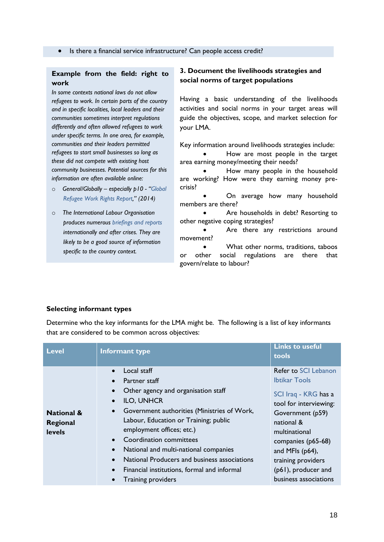#### **Example from the field: right to work**

*In some contexts national laws do not allow refugees to work. In certain parts of the country and in specific localities, local leaders and their communities sometimes interpret regulations differently and often allowed refugees to work under specific terms. In one area, for example, communities and their leaders permitted refugees to start small businesses so long as these did not compete with existing host community businesses. Potential sources for this information are often available online:*

- o *General/Globally – especially p10 - "[Global](http://asylumaccess.org/wp-content/uploads/2014/09/FINAL_Global-Refugee-Work-Rights-Report-2014_Interactive.pdf)  [Refugee Work Rights Report](http://asylumaccess.org/wp-content/uploads/2014/09/FINAL_Global-Refugee-Work-Rights-Report-2014_Interactive.pdf)," (2014)*
- o *The International Labour Organisation produces numerous [briefings and reports](http://www.ilo.org/inform/online-information-resources/lang--en/index.htm) internationally and after crises. They are likely to be a good source of information specific to the country context.*

#### **3. Document the livelihoods strategies and social norms of target populations**

Having a basic understanding of the livelihoods activities and social norms in your target areas will guide the objectives, scope, and market selection for your LMA.

Key information around livelihoods strategies include:

 How are most people in the target area earning money/meeting their needs?

 How many people in the household are working? How were they earning money precrisis?

 On average how many household members are there?

 Are households in debt? Resorting to other negative coping strategies?

 Are there any restrictions around movement?

 What other norms, traditions, taboos or other social regulations are there that govern/relate to labour?

#### **Selecting informant types**

Determine who the key informants for the LMA might be. The following is a list of key informants that are considered to be common across objectives:

| <b>Level</b>                                       | Informant type                                                                                                                                                                                                                                                                                                                                                                                                                                                                                                                            | <b>Links to useful</b><br>tools                                                                                                                                                                                                                                     |
|----------------------------------------------------|-------------------------------------------------------------------------------------------------------------------------------------------------------------------------------------------------------------------------------------------------------------------------------------------------------------------------------------------------------------------------------------------------------------------------------------------------------------------------------------------------------------------------------------------|---------------------------------------------------------------------------------------------------------------------------------------------------------------------------------------------------------------------------------------------------------------------|
| <b>National &amp;</b><br>Regional<br><b>levels</b> | Local staff<br>$\bullet$<br>Partner staff<br>$\bullet$<br>Other agency and organisation staff<br>$\bullet$<br><b>ILO, UNHCR</b><br>$\bullet$<br>Government authorities (Ministries of Work,<br>$\bullet$<br>Labour, Education or Training; public<br>employment offices; etc.)<br><b>Coordination committees</b><br>$\bullet$<br>National and multi-national companies<br>$\bullet$<br>National Producers and business associations<br>$\bullet$<br>Financial institutions, formal and informal<br>$\bullet$<br><b>Training providers</b> | Refer to SCI Lebanon<br><b>Ibtikar Tools</b><br>SCI Iraq - KRG has a<br>tool for interviewing:<br>Government (p59)<br>national &<br>multinational<br>companies (p65-68)<br>and MFIs $(p64)$ ,<br>training providers<br>(p61), producer and<br>business associations |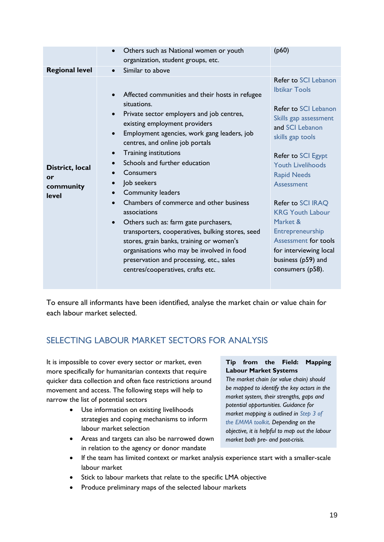|                                             | Others such as National women or youth<br>organization, student groups, etc.                                                                                                                                                                                                                                                                                                                                                                                                                                                                                                                                                                                                              | (p60)                                                                                                                                                                                                                                                                                                                                                                                                                       |
|---------------------------------------------|-------------------------------------------------------------------------------------------------------------------------------------------------------------------------------------------------------------------------------------------------------------------------------------------------------------------------------------------------------------------------------------------------------------------------------------------------------------------------------------------------------------------------------------------------------------------------------------------------------------------------------------------------------------------------------------------|-----------------------------------------------------------------------------------------------------------------------------------------------------------------------------------------------------------------------------------------------------------------------------------------------------------------------------------------------------------------------------------------------------------------------------|
| <b>Regional level</b>                       | Similar to above                                                                                                                                                                                                                                                                                                                                                                                                                                                                                                                                                                                                                                                                          |                                                                                                                                                                                                                                                                                                                                                                                                                             |
| District, local<br>or<br>community<br>level | Affected communities and their hosts in refugee<br>situations.<br>Private sector employers and job centres,<br>existing employment providers<br>Employment agencies, work gang leaders, job<br>centres, and online job portals<br><b>Training institutions</b><br>Schools and further education<br>Consumers<br>Job seekers<br><b>Community leaders</b><br>Chambers of commerce and other business<br>associations<br>Others such as: farm gate purchasers,<br>transporters, cooperatives, bulking stores, seed<br>stores, grain banks, training or women's<br>organisations who may be involved in food<br>preservation and processing, etc., sales<br>centres/cooperatives, crafts etc. | Refer to SCI Lebanon<br><b>Ibtikar Tools</b><br><b>Refer to SCI Lebanon</b><br>Skills gap assessment<br>and SCI Lebanon<br>skills gap tools<br>Refer to SCI Egypt<br><b>Youth Livelihoods</b><br><b>Rapid Needs</b><br><b>Assessment</b><br>Refer to SCI IRAQ<br><b>KRG Youth Labour</b><br>Market &<br>Entrepreneurship<br><b>Assessment for tools</b><br>for interviewing local<br>business (p59) and<br>consumers (p58). |

To ensure all informants have been identified, analyse the market chain or value chain for each labour market selected.

## <span id="page-18-0"></span>SELECTING LABOUR MARKET SECTORS FOR ANALYSIS

It is impossible to cover every sector or market, even more specifically for humanitarian contexts that require quicker data collection and often face restrictions around movement and access. The following steps will help to narrow the list of potential sectors

- Use information on existing livelihoods strategies and coping mechanisms to inform labour market selection
- Areas and targets can also be narrowed down in relation to the agency or donor mandate

### **Tip from the Field: Mapping Labour Market Systems**

*The market chain (or value chain) should be mapped to identify the key actors in the market system, their strengths, gaps and potential opportunities. Guidance for market mapping is outlined in [Step 3 of](http://emma-toolkit.org/wp-content/uploads/2010/08/Step3.pdf)  [the EMMA toolkit.](http://emma-toolkit.org/wp-content/uploads/2010/08/Step3.pdf) Depending on the objective, it is helpful to map out the labour market both pre- and post-crisis.* 

- If the team has limited context or market analysis experience start with a smaller-scale labour market
- Stick to labour markets that relate to the specific LMA objective
- Produce preliminary maps of the selected labour markets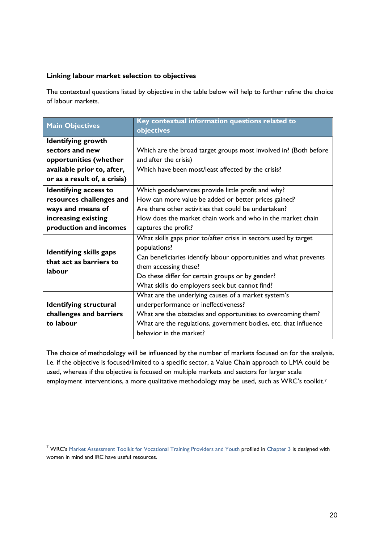#### **Linking labour market selection to objectives**

1

The contextual questions listed by objective in the table below will help to further refine the choice of labour markets.

| <b>Main Objectives</b>         | Key contextual information questions related to<br>objectives     |  |  |
|--------------------------------|-------------------------------------------------------------------|--|--|
| <b>Identifying growth</b>      |                                                                   |  |  |
| sectors and new                | Which are the broad target groups most involved in? (Both before  |  |  |
| opportunities (whether         | and after the crisis)                                             |  |  |
| available prior to, after,     | Which have been most/least affected by the crisis?                |  |  |
| or as a result of, a crisis)   |                                                                   |  |  |
| <b>Identifying access to</b>   | Which goods/services provide little profit and why?               |  |  |
| resources challenges and       | How can more value be added or better prices gained?              |  |  |
| ways and means of              | Are there other activities that could be undertaken?              |  |  |
| increasing existing            | How does the market chain work and who in the market chain        |  |  |
| production and incomes         | captures the profit?                                              |  |  |
|                                | What skills gaps prior to/after crisis in sectors used by target  |  |  |
| <b>Identifying skills gaps</b> | populations?                                                      |  |  |
| that act as barriers to        | Can beneficiaries identify labour opportunities and what prevents |  |  |
| labour                         | them accessing these?                                             |  |  |
|                                | Do these differ for certain groups or by gender?                  |  |  |
|                                | What skills do employers seek but cannot find?                    |  |  |
|                                | What are the underlying causes of a market system's               |  |  |
| <b>Identifying structural</b>  | underperformance or ineffectiveness?                              |  |  |
| challenges and barriers        | What are the obstacles and opportunities to overcoming them?      |  |  |
| to labour                      | What are the regulations, government bodies, etc. that influence  |  |  |
|                                | behavior in the market?                                           |  |  |

The choice of methodology will be influenced by the number of markets focused on for the analysis. I.e. if the objective is focused/limited to a specific sector, a Value Chain approach to LMA could be used, whereas if the objective is focused on multiple markets and sectors for larger scale employment interventions, a more qualitative methodology may be used, such as WRC's toolkit.<sup>7</sup>

<sup>&</sup>lt;sup>7</sup> WRC's [Market Assessment Toolkit for Vocational Training Providers and Youth](https://womensrefugeecommission.org/component/zdocs/document/463-market-assessment-toolkit-for-vocational-training-providers-and-youth) profiled in [Chapter 3](#page-13-0) is designed with women in mind and IRC have useful resources.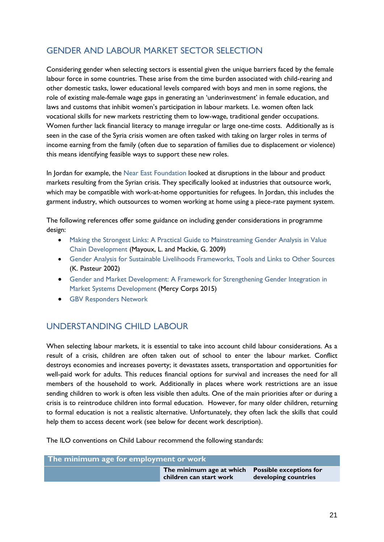## <span id="page-20-0"></span>GENDER AND LABOUR MARKET SECTOR SELECTION

Considering gender when selecting sectors is essential given the unique barriers faced by the female labour force in some countries. These arise from the time burden associated with child-rearing and other domestic tasks, lower educational levels compared with boys and men in some regions, the role of existing male-female wage gaps in generating an 'underinvestment' in female education, and laws and customs that inhibit women's participation in labour markets. I.e. women often lack vocational skills for new markets restricting them to low-wage, traditional gender occupations. Women further lack financial literacy to manage irregular or large one-time costs. Additionally as is seen in the case of the Syria crisis women are often tasked with taking on larger roles in terms of income earning from the family (often due to separation of families due to displacement or violence) this means identifying feasible ways to support these new roles.

In Jordan for example, the [Near East Foundation](http://www.neareast.org/download/project/technical_briefs/jordan/Zarqa_Economic_Assessment_-_Summary.pdf) looked at disruptions in the labour and product markets resulting from the Syrian crisis. They specifically looked at industries that outsource work, which may be compatible with work-at-home opportunities for refugees. In Jordan, this includes the garment industry, which outsources to women working at home using a piece-rate payment system.

The following references offer some guidance on including gender considerations in programme design:

- Making the Strongest Links: A [Practical Guide to Mainstreaming Gender Analysis in Value](http://www.ilo.org/wcmsp5/groups/public/@ed_emp/@emp_ent/documents/instructionalmaterial/wcms_106538.pdf) [Chain Development](http://www.ilo.org/wcmsp5/groups/public/@ed_emp/@emp_ent/documents/instructionalmaterial/wcms_106538.pdf) (Mayoux, L. and Mackie, G. 2009)
- [Gender Analysis for Sustainable Livelihoods Frameworks, Tools and Links to Other Sources](http://www.eldis.org/go/topics/resource-guides/livelihoods-and-social-protection/gender/introduction&id=41450&type=Document#.VemDwel77IU) (K. Pasteur 2002)
- [Gender and Market Development: A Framework for Strengthening Gender Integration in](https://www.mercycorps.org/research-resources/gender-and-market-development-framework-strengthening-gender-integration-market)  [Market Systems Development](https://www.mercycorps.org/research-resources/gender-and-market-development-framework-strengthening-gender-integration-market) (Mercy Corps 2015)
- **[GBV Responders Network](http://gbvresponders.org/)**

### <span id="page-20-1"></span>UNDERSTANDING CHILD LABOUR

When selecting labour markets, it is essential to take into account child labour considerations. As a result of a crisis, children are often taken out of school to enter the labour market. Conflict destroys economies and increases poverty; it devastates assets, transportation and opportunities for well-paid work for adults. This reduces financial options for survival and increases the need for all members of the household to work. Additionally in places where work restrictions are an issue sending children to work is often less visible then adults. One of the main priorities after or during a crisis is to reintroduce children into formal education. However, for many older children, returning to formal education is not a realistic alternative. Unfortunately, they often lack the skills that could help them to access decent work (see below for decent work description).

The ILO conventions on Child Labour recommend the following standards:

| The minimum age for employment or work |                                                                             |                      |
|----------------------------------------|-----------------------------------------------------------------------------|----------------------|
|                                        | The minimum age at which Possible exceptions for<br>children can start work | developing countries |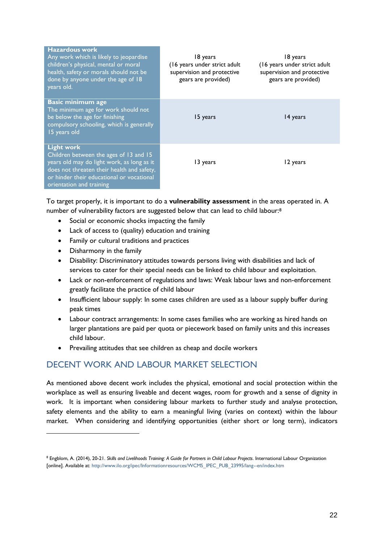| <b>Hazardous work</b><br>Any work which is likely to jeopardise<br>children's physical, mental or moral<br>health, safety or morals should not be<br>done by anyone under the age of 18<br>years old.                            | 18 years<br>(16 years under strict adult<br>supervision and protective<br>gears are provided) | 18 years<br>(16 years under strict adult<br>supervision and protective<br>gears are provided) |
|----------------------------------------------------------------------------------------------------------------------------------------------------------------------------------------------------------------------------------|-----------------------------------------------------------------------------------------------|-----------------------------------------------------------------------------------------------|
| <b>Basic minimum age</b><br>The minimum age for work should not<br>be below the age for finishing<br>compulsory schooling, which is generally<br>15 years old                                                                    | 15 years                                                                                      | 14 years                                                                                      |
| <b>Light work</b><br>Children between the ages of 13 and 15<br>years old may do light work, as long as it<br>does not threaten their health and safety,<br>or hinder their educational or vocational<br>orientation and training | 13 years                                                                                      | 12 years                                                                                      |

To target properly, it is important to do a **vulnerability assessment** in the areas operated in. A number of vulnerability factors are suggested below that can lead to child labour:<sup>8</sup>

- Social or economic shocks impacting the family
- Lack of access to (quality) education and training
- Family or cultural traditions and practices
- Disharmony in the family

1

- Disability: Discriminatory attitudes towards persons living with disabilities and lack of services to cater for their special needs can be linked to child labour and exploitation.
- Lack or non-enforcement of regulations and laws: Weak labour laws and non-enforcement greatly facilitate the practice of child labour
- Insufficient labour supply: In some cases children are used as a labour supply buffer during peak times
- Labour contract arrangements: In some cases families who are working as hired hands on larger plantations are paid per quota or piecework based on family units and this increases child labour.
- Prevailing attitudes that see children as cheap and docile workers

## <span id="page-21-0"></span>DECENT WORK AND LABOUR MARKET SELECTION

As mentioned above decent work includes the physical, emotional and social protection within the workplace as well as ensuring liveable and decent wages, room for growth and a sense of dignity in work. It is important when considering labour markets to further study and analyse protection, safety elements and the ability to earn a meaningful living (varies on context) within the labour market. When considering and identifying opportunities (either short or long term), indicators

<sup>8</sup> Engblom, A. (2014), 20-21. *Skills and Livelihoods Training: A Guide for Partners in Child Labour Projects*. International Labour Organization [online]. Available at: [http://www.ilo.org/ipec/Informationresources/WCMS\\_IPEC\\_PUB\\_23995/lang--en/index.htm](http://www.ilo.org/ipec/Informationresources/WCMS_IPEC_PUB_23995/lang--en/index.htm)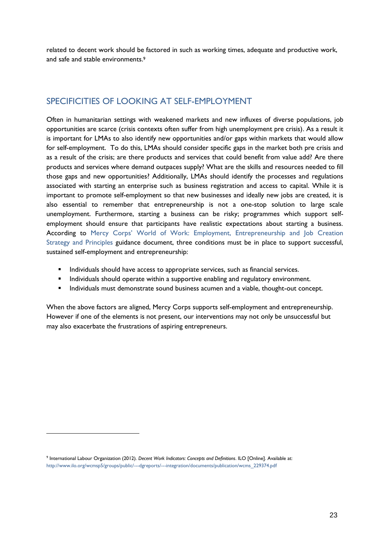related to decent work should be factored in such as working times, adequate and productive work, and safe and stable environments. 9

### <span id="page-22-0"></span>SPECIFICITIES OF LOOKING AT SELF-EMPLOYMENT

Often in humanitarian settings with weakened markets and new influxes of diverse populations, job opportunities are scarce (crisis contexts often suffer from high unemployment pre crisis). As a result it is important for LMAs to also identify new opportunities and/or gaps within markets that would allow for self-employment. To do this, LMAs should consider specific gaps in the market both pre crisis and as a result of the crisis; are there products and services that could benefit from value add? Are there products and services where demand outpaces supply? What are the skills and resources needed to fill those gaps and new opportunities? Additionally, LMAs should identify the processes and regulations associated with starting an enterprise such as business registration and access to capital. While it is important to promote self-employment so that new businesses and ideally new jobs are created, it is also essential to remember that entrepreneurship is not a one-stop solution to large scale unemployment. Furthermore, starting a business can be risky; programmes which support selfemployment should ensure that participants have realistic expectations about starting a business. According to Mercy [Corps' World of Work](https://www.mercycorps.org/sites/default/files/MercyCorps_WorldofWorkStrategyPrinciples_2014.pdf): Employment, Entrepreneurship and Job Creation Strategy and Principles guidance document, three conditions must be in place to support successful, sustained self-employment and entrepreneurship:

- Individuals should have access to appropriate services, such as financial services.
- **Individuals should operate within a supportive enabling and regulatory environment.**
- **Individuals must demonstrate sound business acumen and a viable, thought-out concept.**

<span id="page-22-1"></span>When the above factors are aligned, Mercy Corps supports self-employment and entrepreneurship. However if one of the elements is not present, our interventions may not only be unsuccessful but may also exacerbate the frustrations of aspiring entrepreneurs.

1

<sup>9</sup> International Labour Organization (2012). *Decent Work Indicators: Concepts and Definitions*. ILO [Online]. Available at: [http://www.ilo.org/wcmsp5/groups/public/---dgreports/---integration/documents/publication/wcms\\_229374.pdf](http://www.ilo.org/wcmsp5/groups/public/---dgreports/---integration/documents/publication/wcms_229374.pdf)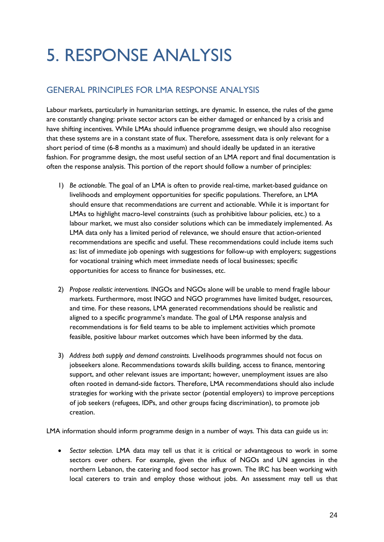# 5. RESPONSE ANALYSIS

## <span id="page-23-0"></span>GENERAL PRINCIPLES FOR LMA RESPONSE ANALYSIS

Labour markets, particularly in humanitarian settings, are dynamic. In essence, the rules of the game are constantly changing: private sector actors can be either damaged or enhanced by a crisis and have shifting incentives. While LMAs should influence programme design, we should also recognise that these systems are in a constant state of flux. Therefore, assessment data is only relevant for a short period of time (6-8 months as a maximum) and should ideally be updated in an iterative fashion. For programme design, the most useful section of an LMA report and final documentation is often the response analysis. This portion of the report should follow a number of principles:

- 1) *Be actionable.* The goal of an LMA is often to provide real-time, market-based guidance on livelihoods and employment opportunities for specific populations. Therefore, an LMA should ensure that recommendations are current and actionable. While it is important for LMAs to highlight macro-level constraints (such as prohibitive labour policies, etc.) to a labour market, we must also consider solutions which can be immediately implemented. As LMA data only has a limited period of relevance, we should ensure that action-oriented recommendations are specific and useful. These recommendations could include items such as: list of immediate job openings with suggestions for follow-up with employers; suggestions for vocational training which meet immediate needs of local businesses; specific opportunities for access to finance for businesses, etc.
- 2) *Propose realistic interventions.* INGOs and NGOs alone will be unable to mend fragile labour markets. Furthermore, most INGO and NGO programmes have limited budget, resources, and time. For these reasons, LMA generated recommendations should be realistic and aligned to a specific programme's mandate. The goal of LMA response analysis and recommendations is for field teams to be able to implement activities which promote feasible, positive labour market outcomes which have been informed by the data.
- 3) *Address both supply and demand constraints.* Livelihoods programmes should not focus on jobseekers alone. Recommendations towards skills building, access to finance, mentoring support, and other relevant issues are important; however, unemployment issues are also often rooted in demand-side factors. Therefore, LMA recommendations should also include strategies for working with the private sector (potential employers) to improve perceptions of job seekers (refugees, IDPs, and other groups facing discrimination), to promote job creation.

LMA information should inform programme design in a number of ways. This data can guide us in:

 *Sector selection.* LMA data may tell us that it is critical or advantageous to work in some sectors over others. For example, given the influx of NGOs and UN agencies in the northern Lebanon, the catering and food sector has grown. The IRC has been working with local caterers to train and employ those without jobs. An assessment may tell us that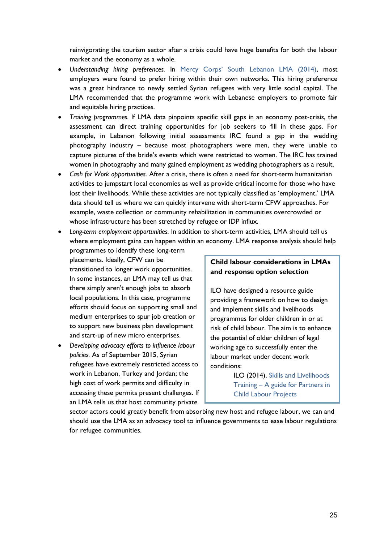reinvigorating the tourism sector after a crisis could have huge benefits for both the labour market and the economy as a whole.

- *Understanding hiring preferences.* In Mercy Corps' South [Lebanon LMA \(2014\),](https://www.google.com/url?sa=t&rct=j&q=&esrc=s&source=web&cd=1&cad=rja&uact=8&ved=0CB0QFjAAahUKEwj5-_a-ipvJAhWIHT4KHWOMAeY&url=https%3A%2F%2Fwww.mercycorps.org%2Fresearch-resources%2Fsouth-lebanon-labor-market-assessment&usg=AFQjCNF4kZL4qQTePRJQpvvbK5hl4Bf-5g&sig2=0qad6rRFYGw3uPEAenEaJg&bvm=bv.107763241,d.cWw) most employers were found to prefer hiring within their own networks. This hiring preference was a great hindrance to newly settled Syrian refugees with very little social capital. The LMA recommended that the programme work with Lebanese employers to promote fair and equitable hiring practices.
- *Training programmes.* If LMA data pinpoints specific skill gaps in an economy post-crisis, the assessment can direct training opportunities for job seekers to fill in these gaps. For example, in Lebanon following initial assessments IRC found a gap in the wedding photography industry – because most photographers were men, they were unable to capture pictures of the bride's events which were restricted to women. The IRC has trained women in photography and many gained employment as wedding photographers as a result.
- *Cash for Work opportunities*. After a crisis, there is often a need for short-term humanitarian activities to jumpstart local economies as well as provide critical income for those who have lost their livelihoods. While these activities are not typically classified as 'employment,' LMA data should tell us where we can quickly intervene with short-term CFW approaches. For example, waste collection or community rehabilitation in communities overcrowded or whose infrastructure has been stretched by refugee or IDP influx.
- *Long-term employment opportunities.* In addition to short-term activities, LMA should tell us where employment gains can happen within an economy. LMA response analysis should help
- programmes to identify these long-term placements. Ideally, CFW can be transitioned to longer work opportunities. In some instances, an LMA may tell us that there simply aren't enough jobs to absorb local populations. In this case, programme efforts should focus on supporting small and medium enterprises to spur job creation or to support new business plan development and start-up of new micro enterprises.
- *Developing advocacy efforts to influence labour policies.* As of September 2015, Syrian refugees have extremely restricted access to work in Lebanon, Turkey and Jordan; the high cost of work permits and difficulty in accessing these permits present challenges. If an LMA tells us that host community private

#### **Child labour considerations in LMAs and response option selection**

ILO have designed a resource guide providing a framework on how to design and implement skills and livelihoods programmes for older children in or at risk of child labour. The aim is to enhance the potential of older children of legal working age to successfully enter the labour market under decent work conditions:

> ILO (2014), [Skills and Livelihoods](http://www.ilo.org/ipec/Informationresources/WCMS_IPEC_PUB_23995/lang--en/index.htm)  Training – [A guide for Partners in](http://www.ilo.org/ipec/Informationresources/WCMS_IPEC_PUB_23995/lang--en/index.htm)  [Child Labour Projects](http://www.ilo.org/ipec/Informationresources/WCMS_IPEC_PUB_23995/lang--en/index.htm)

sector actors could greatly benefit from absorbing new host and refugee labour, we can and should use the LMA as an advocacy tool to influence governments to ease labour regulations for refugee communities.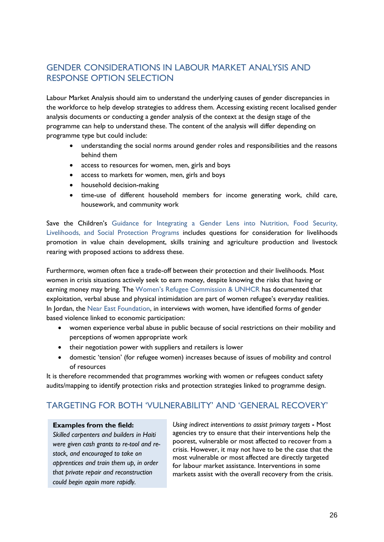## <span id="page-25-0"></span>GENDER CONSIDERATIONS IN LABOUR MARKET ANALYSIS AND RESPONSE OPTION SELECTION

Labour Market Analysis should aim to understand the underlying causes of gender discrepancies in the workforce to help develop strategies to address them. Accessing existing recent localised gender analysis documents or conducting a gender analysis of the context at the design stage of the programme can help to understand these. The content of the analysis will differ depending on programme type but could include:

- understanding the social norms around gender roles and responsibilities and the reasons behind them
- access to resources for women, men, girls and boys
- access to markets for women, men, girls and boys
- household decision-making
- time-use of different household members for income generating work, child care, housework, and community work

Save the Children's Guidance for Integrating a Gender Lens into Nutrition, Food Security, [Livelihoods, and Social Protection Programs](https://rescue.box.com/s/iv4b8k4ebom9lzka13oyfq84qblhtr7m) includes questions for consideration for livelihoods promotion in value chain development, skills training and agriculture production and livestock rearing with proposed actions to address these.

Furthermore, women often face a trade-off between their protection and their livelihoods. Most women in crisis situations actively seek to earn money, despite knowing the risks that having or earning money may bring. The [Women's Refugee Commission](http://www.unicef.org/emerg/files/gl_sgbv03.pdf) & UNHCR has documented that exploitation, verbal abuse and physical intimidation are part of women refugee's everyday realities. In Jordan, the [Near East Foundation,](http://www.neareast.org/download/project/technical_briefs/jordan/Zarqa_Economic_Assessment_-_Full_Report.pdf) in interviews with women, have identified forms of gender based violence linked to economic participation:

- women experience verbal abuse in public because of social restrictions on their mobility and perceptions of women appropriate work
- their negotiation power with suppliers and retailers is lower
- domestic 'tension' (for refugee women) increases because of issues of mobility and control of resources

It is therefore recommended that programmes working with women or refugees conduct safety audits/mapping to identify protection risks and protection strategies linked to programme design.

### TARGETING FOR BOTH 'VULNERABILITY' AND 'GENERAL RECOVERY'

#### **Examples from the field:**

*Skilled carpenters and builders in Haiti were given cash grants to re-tool and restock, and encouraged to take on apprentices and train them up, in order that private repair and reconstruction could begin again more rapidly.*

<span id="page-25-1"></span>*Using indirect interventions to assist primary targets* **-** Most agencies try to ensure that their interventions help the poorest, vulnerable or most affected to recover from a crisis. However, it may not have to be the case that the most vulnerable or most affected are directly targeted for labour market assistance. Interventions in some markets assist with the overall recovery from the crisis.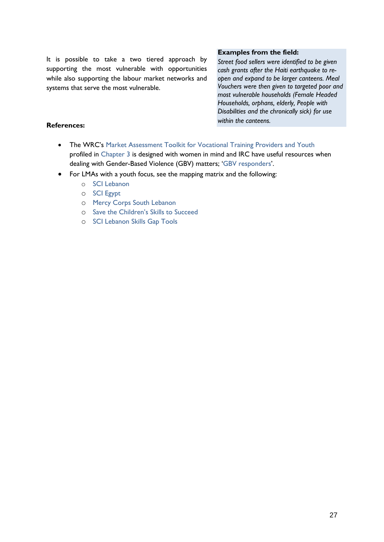It is possible to take a two tiered approach by supporting the most vulnerable with opportunities while also supporting the labour market networks and systems that serve the most vulnerable.

#### **Examples from the field:**

*Street food sellers were identified to be given cash grants after the Haiti earthquake to reopen and expand to be larger canteens. Meal Vouchers were then given to targeted poor and most vulnerable households (Female Headed Households, orphans, elderly, People with Disabilities and the chronically sick) for use within the canteens.*

#### **References:**

- The WRC's [Market Assessment Toolkit for Vocational Training Providers and Youth](https://womensrefugeecommission.org/component/zdocs/document/463-market-assessment-toolkit-for-vocational-training-providers-and-youth) profiled in [Chapter](#page-13-0) 3 is designed with women in mind and IRC have useful resources when dealing with Gender-Based Violence (GBV) matters; '[GBV responders](http://gbvresponders.org/resources/)'.
- For LMAs with a youth focus, see the mapping matrix and the following:
	- o [SCI Lebanon](https://rescue.box.com/s/63dtc8hy7z3eccym0yrfj5g99qjnrkib)
	- o [SCI Egypt](https://rescue.box.com/s/psytqo89gjoq56slke20xmhhivrd5mf9)
	- o [Mercy Corps South Lebanon](https://www.mercycorps.org/research-resources/south-lebanon-labor-market-assessment)
	- o [Save the Children's Skills to Succeed](https://rescue.box.com/s/pkhh0ji5212xgo1v05689w5o0g6hbcxq)
	- o [SCI Lebanon Skills Gap Tools](https://rescue.box.com/s/jrq9sjhvy83ktz4dtzerse4qdo5y64ak)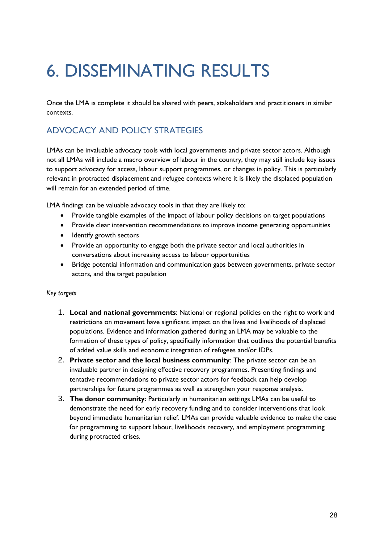## <span id="page-27-0"></span>6. DISSEMINATING RESULTS

Once the LMA is complete it should be shared with peers, stakeholders and practitioners in similar contexts.

## <span id="page-27-1"></span>ADVOCACY AND POLICY STRATEGIES

LMAs can be invaluable advocacy tools with local governments and private sector actors. Although not all LMAs will include a macro overview of labour in the country, they may still include key issues to support advocacy for access, labour support programmes, or changes in policy. This is particularly relevant in protracted displacement and refugee contexts where it is likely the displaced population will remain for an extended period of time.

LMA findings can be valuable advocacy tools in that they are likely to:

- Provide tangible examples of the impact of labour policy decisions on target populations
- Provide clear intervention recommendations to improve income generating opportunities
- Identify growth sectors
- Provide an opportunity to engage both the private sector and local authorities in conversations about increasing access to labour opportunities
- Bridge potential information and communication gaps between governments, private sector actors, and the target population

#### *Key targets*

- 1. **Local and national governments**: National or regional policies on the right to work and restrictions on movement have significant impact on the lives and livelihoods of displaced populations. Evidence and information gathered during an LMA may be valuable to the formation of these types of policy, specifically information that outlines the potential benefits of added value skills and economic integration of refugees and/or IDPs.
- 2. **Private sector and the local business community**: The private sector can be an invaluable partner in designing effective recovery programmes. Presenting findings and tentative recommendations to private sector actors for feedback can help develop partnerships for future programmes as well as strengthen your response analysis.
- 3. **The donor community**: Particularly in humanitarian settings LMAs can be useful to demonstrate the need for early recovery funding and to consider interventions that look beyond immediate humanitarian relief. LMAs can provide valuable evidence to make the case for programming to support labour, livelihoods recovery, and employment programming during protracted crises.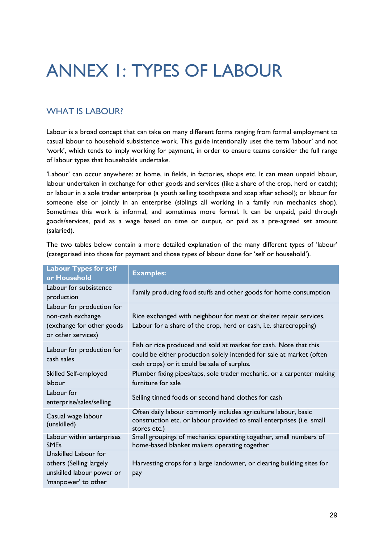## <span id="page-28-0"></span>ANNEX 1: TYPES OF LABOUR

## WHAT IS LABOUR?

Labour is a broad concept that can take on many different forms ranging from formal employment to casual labour to household subsistence work. This guide intentionally uses the term 'labour' and not 'work', which tends to imply working for payment, in order to ensure teams consider the full range of labour types that households undertake.

'Labour' can occur anywhere: at home, in fields, in factories, shops etc. It can mean unpaid labour, labour undertaken in exchange for other goods and services (like a share of the crop, herd or catch); or labour in a sole trader enterprise (a youth selling toothpaste and soap after school); or labour for someone else or jointly in an enterprise (siblings all working in a family run mechanics shop). Sometimes this work is informal, and sometimes more formal. It can be unpaid, paid through goods/services, paid as a wage based on time or output, or paid as a pre-agreed set amount (salaried).

The two tables below contain a more detailed explanation of the many different types of 'labour' (categorised into those for payment and those types of labour done for 'self or household').

| <b>Labour Types for self</b><br>or Household                                                        | <b>Examples:</b>                                                                                                                                                                         |
|-----------------------------------------------------------------------------------------------------|------------------------------------------------------------------------------------------------------------------------------------------------------------------------------------------|
| Labour for subsistence<br>production                                                                | Family producing food stuffs and other goods for home consumption                                                                                                                        |
| Labour for production for<br>non-cash exchange<br>(exchange for other goods<br>or other services)   | Rice exchanged with neighbour for meat or shelter repair services.<br>Labour for a share of the crop, herd or cash, i.e. sharecropping)                                                  |
| Labour for production for<br>cash sales                                                             | Fish or rice produced and sold at market for cash. Note that this<br>could be either production solely intended for sale at market (often<br>cash crops) or it could be sale of surplus. |
| Skilled Self-employed<br>labour                                                                     | Plumber fixing pipes/taps, sole trader mechanic, or a carpenter making<br>furniture for sale                                                                                             |
| Labour for<br>enterprise/sales/selling                                                              | Selling tinned foods or second hand clothes for cash                                                                                                                                     |
| Casual wage labour<br>(unskilled)                                                                   | Often daily labour commonly includes agriculture labour, basic<br>construction etc. or labour provided to small enterprises (i.e. small<br>stores etc.)                                  |
| Labour within enterprises<br><b>SMEs</b>                                                            | Small groupings of mechanics operating together, small numbers of<br>home-based blanket makers operating together                                                                        |
| Unskilled Labour for<br>others (Selling largely<br>unskilled labour power or<br>'manpower' to other | Harvesting crops for a large landowner, or clearing building sites for<br>pay                                                                                                            |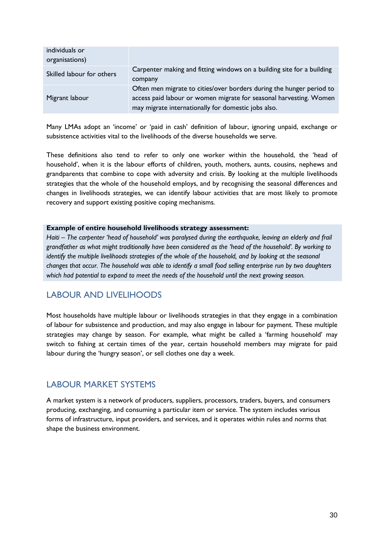| individuals or            |                                                                                                                                                                                                   |
|---------------------------|---------------------------------------------------------------------------------------------------------------------------------------------------------------------------------------------------|
| organisations)            |                                                                                                                                                                                                   |
| Skilled labour for others | Carpenter making and fitting windows on a building site for a building<br>company                                                                                                                 |
| Migrant labour            | Often men migrate to cities/over borders during the hunger period to<br>access paid labour or women migrate for seasonal harvesting. Women<br>may migrate internationally for domestic jobs also. |

Many LMAs adopt an 'income' or 'paid in cash' definition of labour, ignoring unpaid, exchange or subsistence activities vital to the livelihoods of the diverse households we serve.

These definitions also tend to refer to only one worker within the household, the 'head of household', when it is the labour efforts of children, youth, mothers, aunts, cousins, nephews and grandparents that combine to cope with adversity and crisis. By looking at the multiple livelihoods strategies that the whole of the household employs, and by recognising the seasonal differences and changes in livelihoods strategies, we can identify labour activities that are most likely to promote recovery and support existing positive coping mechanisms.

#### **Example of entire household livelihoods strategy assessment:**

*Haiti – The carpenter 'head of household' was paralysed during the earthquake, leaving an elderly and frail grandfather as what might traditionally have been considered as the 'head of the household'. By working to identify the multiple livelihoods strategies of the whole of the household, and by looking at the seasonal changes that occur. The household was able to identify a small food selling enterprise run by two daughters*  which had potential to expand to meet the needs of the household until the next growing season.

### LABOUR AND LIVELIHOODS

Most households have multiple labour or livelihoods strategies in that they engage in a combination of labour for subsistence and production, and may also engage in labour for payment. These multiple strategies may change by season. For example, what might be called a 'farming household' may switch to fishing at certain times of the year, certain household members may migrate for paid labour during the 'hungry season', or sell clothes one day a week.

#### LABOUR MARKET SYSTEMS

A market system is a network of producers, suppliers, processors, traders, buyers, and consumers producing, exchanging, and consuming a particular item or service. The system includes various forms of infrastructure, input providers, and services, and it operates within rules and norms that shape the business environment.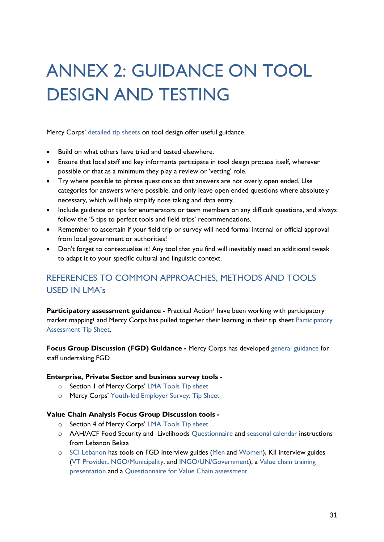# <span id="page-30-0"></span>ANNEX 2: GUIDANCE ON TOOL DESIGN AND TESTING

Mercy Corps' [detailed tip sheets](https://www.mercycorps.org/research-resources/labor-and-market-assessment-guidance-and-tip-sheets) on tool design offer useful guidance.

- Build on what others have tried and tested elsewhere.
- Ensure that local staff and key informants participate in tool design process itself, wherever possible or that as a minimum they play a review or 'vetting' role.
- Try where possible to phrase questions so that answers are not overly open ended. Use categories for answers where possible, and only leave open ended questions where absolutely necessary, which will help simplify note taking and data entry.
- Include guidance or tips for enumerators or team members on any difficult questions, and always follow the '5 tips to perfect tools and field trips' recommendations.
- Remember to ascertain if your field trip or survey will need formal internal or official approval from local government or authorities!
- Don't forget to contextualise it! Any tool that you find will inevitably need an additional tweak to adapt it to your specific cultural and linguistic context.

## REFERENCES TO COMMON APPROACHES, METHODS AND TOOLS USED IN LMA's

**Participatory assessment guidance -** Practical Action<sup>1</sup> have been working with participatory market mapping<sup>1</sup> and Mercy Corps has pulled together their learning in their tip sheet Participatory [Assessment Tip Sheet.](https://d2zyf8ayvg1369.cloudfront.net/sites/default/files/Mercy%20Corps%20LMA%20Participatory%20Assessments%20Tip%20Sheet%20June%202015.pdf)

**Focus Group Discussion (FGD) Guidance -** Mercy Corps has developed [general guidance](https://d2zyf8ayvg1369.cloudfront.net/sites/default/files/Mercy%20Corps%20Conducting%20an%20FGD%20Tip%20Sheet%20June%202015.pdf) for staff undertaking FGD

#### **Enterprise, Private Sector and business survey tools -**

- o Section 1 of Mercy Corps' [LMA Tools Tip sheet](https://d2zyf8ayvg1369.cloudfront.net/sites/default/files/Mercy%20Corps%20Selecting%20Tools%20Tip%20Sheet%20June%202015.pdf)
- o Mercy Corps' [Youth-led](https://d2zyf8ayvg1369.cloudfront.net/sites/default/files/Mercy%20Corps%20Conducting%20a%20Business%20Survey%20Tip%20Sheet%20June%202015.pdf) Employer Survey: Tip Sheet

#### **Value Chain Analysis Focus Group Discussion tools -**

- o Section 4 of Mercy Corps' [LMA Tools Tip sheet](https://d2zyf8ayvg1369.cloudfront.net/sites/default/files/Mercy%20Corps%20Selecting%20Tools%20Tip%20Sheet%20June%202015.pdf)
- o AAH/ACF Food Security and Livelihoods [Questionnaire](https://rescue.box.com/s/gttyjd9hdugh53bcqmju7tilme633rpc) and [seasonal calendar](https://rescue.box.com/s/ge18vsf5ukhwxrqdd76lvq6vg13g9xn1) instructions from Lebanon Bekaa
- o [SCI Lebanon](https://rescue.box.com/s/3d7uemlwpwwnip6p6rbebx5xsahe422y) has tools on FGD Interview guides [\(Men](https://rescue.box.com/s/gc1wqo91jkkb9t2cij9594syijvcdq8e) and [Women\)](https://rescue.box.com/s/vqirnvd00b19tk5b70xkuhzv2yr1tuc6), KII interview guides [\(VT Provider,](https://rescue.box.com/s/kejjya07l10nhye9hszmq20xy2501e7u) [NGO/Municipality,](https://rescue.box.com/s/7fmnof3qnwta3ipn36ise0pjr2s5k191) and [INGO/UN/Government\)](https://rescue.box.com/s/i5buhbpttb2te7ehl534tcia89ko9fs5), a [Value chain training](https://rescue.box.com/s/dru81co55ctxobzkxnjjqgz45g35a5rl)  [presentation](https://rescue.box.com/s/dru81co55ctxobzkxnjjqgz45g35a5rl) and a [Questionnaire for Value Chain assessment.](https://rescue.box.com/s/y1l935tujgtwz2nuq3xd3q7vx8ob5eox)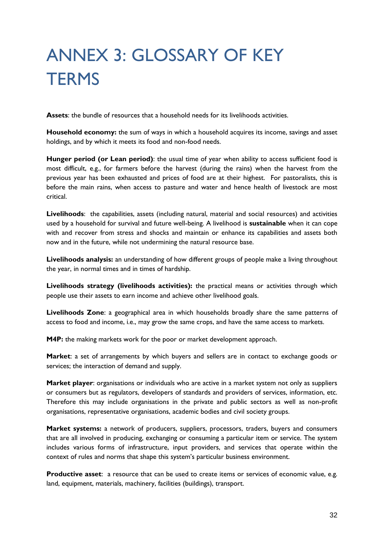# <span id="page-31-0"></span>ANNEX 3: GLOSSARY OF KEY **TERMS**

**Assets**: the bundle of resources that a household needs for its livelihoods activities.

**Household economy:** the sum of ways in which a household acquires its income, savings and asset holdings, and by which it meets its food and non-food needs.

**Hunger period (or Lean period)**: the usual time of year when ability to access sufficient food is most difficult, e.g., for farmers before the harvest (during the rains) when the harvest from the previous year has been exhausted and prices of food are at their highest. For pastoralists, this is before the main rains, when access to pasture and water and hence health of livestock are most critical.

**Livelihoods**: the capabilities, assets (including natural, material and social resources) and activities used by a household for survival and future well-being. A livelihood is **sustainable** when it can cope with and recover from stress and shocks and maintain or enhance its capabilities and assets both now and in the future, while not undermining the natural resource base.

**Livelihoods analysis:** an understanding of how different groups of people make a living throughout the year, in normal times and in times of hardship.

**Livelihoods strategy (livelihoods activities):** the practical means or activities through which people use their assets to earn income and achieve other livelihood goals.

**Livelihoods Zone**: a geographical area in which households broadly share the same patterns of access to food and income, i.e., may grow the same crops, and have the same access to markets.

**M4P:** the making markets work for the poor or market development approach.

**Market**: a set of arrangements by which buyers and sellers are in contact to exchange goods or services; the interaction of demand and supply.

**Market player**: organisations or individuals who are active in a market system not only as suppliers or consumers but as regulators, developers of standards and providers of services, information, etc. Therefore this may include organisations in the private and public sectors as well as non-profit organisations, representative organisations, academic bodies and civil society groups.

**Market systems:** a network of producers, suppliers, processors, traders, buyers and consumers that are all involved in producing, exchanging or consuming a particular item or service. The system includes various forms of infrastructure, input providers, and services that operate within the context of rules and norms that shape this system's particular business environment.

**Productive asset**: a resource that can be used to create items or services of economic value, e.g. land, equipment, materials, machinery, facilities (buildings), transport.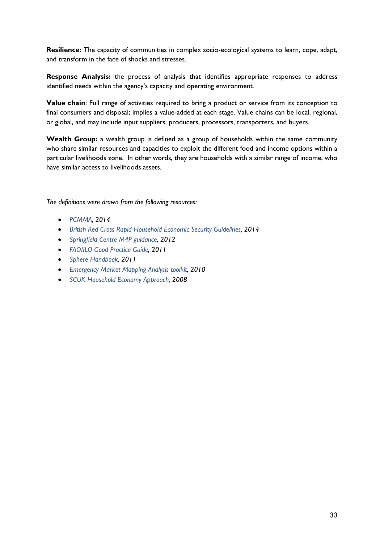**Resilience:** The capacity of communities in complex socio-ecological systems to learn, cope, adapt, and transform in the face of shocks and stresses.

**Response Analysis:** the process of analysis that identifies appropriate responses to address identified needs within the agency's capacity and operating environment.

**Value chain**: Full range of activities required to bring a product or service from its conception to final consumers and disposal; implies a value-added at each stage. Value chains can be local, regional, or global, and may include input suppliers, producers, processors, transporters, and buyers.

Wealth Group: a wealth group is defined as a group of households within the same community who share similar resources and capacities to exploit the different food and income options within a particular livelihoods zone. In other words, they are households with a similar range of income, who have similar access to livelihoods assets.

*The definitions were drawn from the following resources:* 

- *[PCMMA,](https://rescue.app.box.com/files/0/f/2268437719/1/f_22782803209) 2014*
- *[British Red Cross Rapid Household Economic Security Guidelines,](https://rescue.box.com/s/7o1okcyqnjvluqio92hod6ilc74bulr6) 2014*
- *[Springfield Centre M4P guidance,](http://www.springfieldcentre.com/wp-content/uploads/2012/10/sp0602.pdf) 2012*
- *[FAO/ILO Good Practice Guide,](ftp://ftp.fao.org/fi/DOCUMENT/child_labour_FAO-ILO/child_labour_FAO-ILO.pdf) 2011*
- *[Sphere Handbook,](http://www.spherehandbook.org/) 2011*
- *[Emergency Market Mapping Analysis toolkit,](http://emma-toolkit.org/get/download/) 2010*
- *[SCUK Household Economy Approach,](http://www.savethechildren.org.uk/resources/online-library/practitioners%E2%80%99-guide-household-economy-approach) 2008*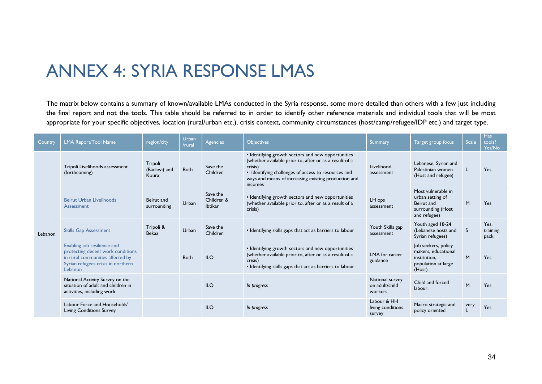## ANNEX 4: SYRIA RESPONSE LMAS

The matrix below contains a summary of known/available LMAs conducted in the Syria response, some more detailed than others with a few just including the final report and not the tools. This table should be referred to in order to identify other reference materials and individual tools that will be most appropriate for your specific objectives, location (rural/urban etc.), crisis context, community circumstances (host/camp/refugee/IDP etc.) and target type.

<span id="page-33-0"></span>

| Country | LMA Report/Tool Name                                                                                                                                  | region/city                      | <b>Urban</b><br>/rural | Agencies <sup>'</sup>                    | <b>Objectives</b>                                                                                                                                                                                                                                 | <b>Summary</b>                               | Target group focus                                                                          | <b>Scale</b> | <b>Has</b><br>tools?<br>Yes/No |
|---------|-------------------------------------------------------------------------------------------------------------------------------------------------------|----------------------------------|------------------------|------------------------------------------|---------------------------------------------------------------------------------------------------------------------------------------------------------------------------------------------------------------------------------------------------|----------------------------------------------|---------------------------------------------------------------------------------------------|--------------|--------------------------------|
| Lebanon | Tripoli Livelihoods assessment<br>(forthcoming)                                                                                                       | Tripoli<br>(Badawi) and<br>Koura | <b>Both</b>            | Save the<br>Children                     | • Identifying growth sectors and new opportunities<br>(whether available prior to, after or as a result of a<br>crisis)<br>• Identifying challenges of access to resources and<br>ways and means of increasing existing production and<br>incomes | Livelihood<br>assessment                     | Lebanese, Syrian and<br>Palestinian women<br>(Host and refugee)                             |              | Yes                            |
|         | <b>Beirut Urban Livelihoods</b><br>Assessment                                                                                                         | Beirut and<br>surrounding        | Urban                  | Save the<br>Children &<br><b>Ibtikar</b> | • Identifying growth sectors and new opportunities<br>(whether available prior to, after or as a result of a<br>crisis)                                                                                                                           | LH ops<br>assessment                         | Most vulnerable in<br>urban setting of<br>Beirut and<br>surrounding (Host<br>and refugee)   | M            | Yes                            |
|         | <b>Skills Gap Assessment</b>                                                                                                                          | Tripoli &<br><b>Bekaa</b>        | Urban                  | Save the<br>Children                     | • Identifying skills gaps that act as barriers to labour                                                                                                                                                                                          | Youth Skills gap<br>assessment               | Youth aged 18-24<br>(Lebanese hosts and<br>Syrian refugees)                                 | <sub>S</sub> | Yes.<br>training<br>pack       |
|         | Enabling job resilience and<br>protecting decent work conditions<br>in rural communities affected by<br>Syrian refugees crisis in northern<br>Lebanon |                                  | Both                   | <b>ILO</b>                               | • Identifying growth sectors and new opportunities<br>(whether available prior to, after or as a result of a<br>crisis)<br>• Identifying skills gaps that act as barriers to labour                                                               | LMA for career<br>guidance                   | Job seekers, policy<br>makers, educational<br>institution,<br>population at large<br>(Host) | M            | Yes                            |
|         | National Activity Survey on the<br>situation of adult and children in<br>activities, including work                                                   |                                  |                        | <b>ILO</b>                               | In progress                                                                                                                                                                                                                                       | National survey<br>on adult/child<br>workers | Child and forced<br>labour.                                                                 | M            | Yes                            |
|         | Labour Force and Households'<br><b>Living Conditions Survey</b>                                                                                       |                                  |                        | <b>ILO</b>                               | In progress                                                                                                                                                                                                                                       | Labour & HH<br>living conditions<br>survey   | Macro strategic and<br>policy oriented                                                      | very         | Yes                            |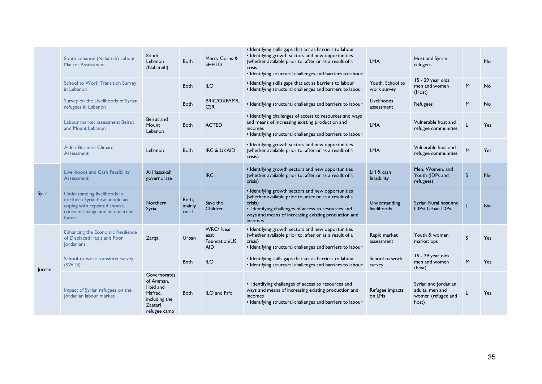|                 | South Lebanon (Nabateih) Labour<br><b>Market Assessment</b>                                                                                  | South<br>Lebanon<br>(Nabateih)                                                                | Both                     | Mercy Corps &<br><b>SHEILD</b>                         | • Identifying skills gaps that act as barriers to labour<br>• Identifying growth sectors and new opportunities<br>(whether available prior to, after or as a result of a<br><b>crisis</b><br>• Identifying structural challenges and barriers to labour | <b>LMA</b>                      | Host and Syrian<br>refugees                                            |              | <b>No</b> |
|-----------------|----------------------------------------------------------------------------------------------------------------------------------------------|-----------------------------------------------------------------------------------------------|--------------------------|--------------------------------------------------------|---------------------------------------------------------------------------------------------------------------------------------------------------------------------------------------------------------------------------------------------------------|---------------------------------|------------------------------------------------------------------------|--------------|-----------|
|                 | <b>School to Work Transition Survey</b><br>in Lebanon                                                                                        |                                                                                               | Both                     | <b>ILO</b>                                             | • Identifying skills gaps that act as barriers to labour<br>• Identifying structural challenges and barriers to labour                                                                                                                                  | Youth, School to<br>work survey | 15 - 29 year olds<br>men and women<br>(Host)                           | M            | <b>No</b> |
|                 | Survey on the Livelihoods of Syrian<br>refugees in Lebanon                                                                                   |                                                                                               | <b>Both</b>              | <b>BRIC/OXFAM/L</b><br><b>CSR</b>                      | • Identifying structural challenges and barriers to labour                                                                                                                                                                                              | Livelihoods<br>assessment       | Refugees                                                               | M            | <b>No</b> |
|                 | Labour market assessment Beirut<br>and Mount Lebanon                                                                                         | Beirut and<br>Mount<br>Lebanon                                                                | <b>Both</b>              | <b>ACTED</b>                                           | • Identifying challenges of access to resources and ways<br>and means of increasing existing production and<br>incomes<br>• Identifying structural challenges and barriers to labour                                                                    | <b>LMA</b>                      | Vulnerable host and<br>refugee communities                             |              | Yes       |
|                 | <b>Akkar Business Climate</b><br>Assessment                                                                                                  | Lebanon                                                                                       | <b>Both</b>              | <b>IRC &amp; UKAID</b>                                 | • Identifying growth sectors and new opportunities<br>(whether available prior to, after or as a result of a<br>crisis)                                                                                                                                 | LMA                             | Vulnerable host and<br>refugee communities                             | M            | Yes       |
| Syria<br>Jordan | Livelihoods and Cash Feasibility<br><b>Assessment</b>                                                                                        | Al Hassakah<br>governorate                                                                    |                          | <b>IRC</b>                                             | • Identifying growth sectors and new opportunities<br>(whether available prior to, after or as a result of a<br>crisis)                                                                                                                                 | LH & cash<br>feasibility        | Men, Women, and<br>Youth (IDPs and<br>refugees)                        | <sub>S</sub> | <b>No</b> |
|                 | Understanding livelihoods in<br>northern Syria: how people are<br>coping with repeated shocks,<br>constant change and an uncertain<br>future | Northern<br>Syria                                                                             | Both,<br>mainly<br>rural | Save the<br>Children                                   | • Identifying growth sectors and new opportunities<br>(whether available prior to, after or as a result of a<br>crisis)<br>• Identifying challenges of access to resources and<br>ways and means of increasing existing production and<br>incomes       | Understanding<br>livelihoods    | Syrian Rural host and<br><b>IDPs/ Urban IDPs</b>                       | L            | <b>No</b> |
|                 | <b>Enhancing the Economic Resilience</b><br>of Displaced Iraqis and Poor<br>Jordanians                                                       | Zarqa                                                                                         | Urban                    | <b>WRC/Near</b><br>east<br>Foundation/US<br><b>AID</b> | • Identifying growth sectors and new opportunities<br>(whether available prior to, after or as a result of a<br>crisis)<br>• Identifying structural challenges and barriers to labour                                                                   | Rapid market<br>assessment      | Youth & women<br>market ops                                            | S            | Yes       |
|                 | School-to-work transition survey<br>(SWTS)                                                                                                   |                                                                                               | <b>Both</b>              | <b>ILO</b>                                             | • Identifying skills gaps that act as barriers to labour<br>• Identifying structural challenges and barriers to labour                                                                                                                                  | School to work<br>survey        | 15 - 29 year olds<br>men and women<br>(host)                           | M            | Yes       |
|                 | Impact of Syrian refugees on the<br>Jordanian labour market                                                                                  | Governorates<br>of Amman,<br>Irbid and<br>Mafrag,<br>including the<br>Zaatari<br>refugee camp | <b>Both</b>              | ILO and Fafo                                           | • Identifying challenges of access to resources and<br>ways and means of increasing existing production and<br>incomes<br>• Identifying structural challenges and barriers to labour                                                                    | Refugee impacts<br>on LMs       | Syrian and Jordanian<br>adults, men and<br>women (refugee and<br>host) |              | Yes       |